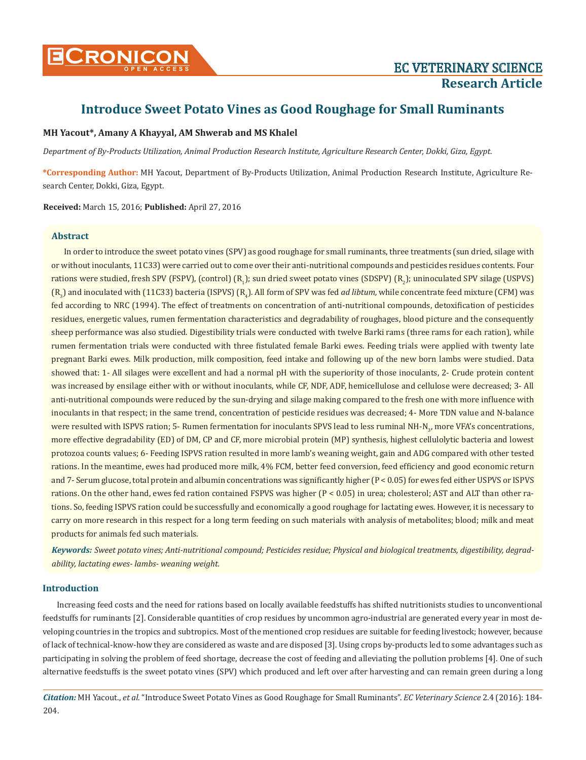

# **Introduce Sweet Potato Vines as Good Roughage for Small Ruminants**

# **MH Yacout\*, Amany A Khayyal, AM Shwerab and MS Khalel**

*Department of By-Products Utilization, Animal Production Research Institute, Agriculture Research Center, Dokki, Giza, Egypt.*

**\*Corresponding Author:** MH Yacout, Department of By-Products Utilization, Animal Production Research Institute, Agriculture Research Center, Dokki, Giza, Egypt.

**Received:** March 15, 2016; **Published:** April 27, 2016

# **Abstract**

In order to introduce the sweet potato vines (SPV) as good roughage for small ruminants, three treatments (sun dried, silage with or without inoculants, 11C33) were carried out to come over their anti-nutritional compounds and pesticides residues contents. Four rations were studied, fresh SPV (FSPV), (control) (R<sub>1</sub>); sun dried sweet potato vines (SDSPV) (R<sub>2</sub>); uninoculated SPV silage (USPVS) (R<sub>3</sub>) and inoculated with (11C33) bacteria (ISPVS) (R<sub>4</sub>). All form of SPV was fed *ad libtum,* while concentrate feed mixture (CFM) was fed according to NRC (1994). The effect of treatments on concentration of anti-nutritional compounds, detoxification of pesticides residues, energetic values, rumen fermentation characteristics and degradability of roughages, blood picture and the consequently sheep performance was also studied. Digestibility trials were conducted with twelve Barki rams (three rams for each ration), while rumen fermentation trials were conducted with three fistulated female Barki ewes. Feeding trials were applied with twenty late pregnant Barki ewes. Milk production, milk composition, feed intake and following up of the new born lambs were studied. Data showed that: 1- All silages were excellent and had a normal pH with the superiority of those inoculants, 2- Crude protein content was increased by ensilage either with or without inoculants, while CF, NDF, ADF, hemicellulose and cellulose were decreased; 3- All anti-nutritional compounds were reduced by the sun-drying and silage making compared to the fresh one with more influence with inoculants in that respect; in the same trend, concentration of pesticide residues was decreased; 4- More TDN value and N-balance were resulted with ISPVS ration; 5- Rumen fermentation for inoculants SPVS lead to less ruminal NH-N<sub>3</sub>, more VFA's concentrations, more effective degradability (ED) of DM, CP and CF, more microbial protein (MP) synthesis, highest cellulolytic bacteria and lowest protozoa counts values; 6- Feeding ISPVS ration resulted in more lamb's weaning weight, gain and ADG compared with other tested rations. In the meantime, ewes had produced more milk, 4% FCM, better feed conversion, feed efficiency and good economic return and 7- Serum glucose, total protein and albumin concentrations was significantly higher (P < 0.05) for ewes fed either USPVS or ISPVS rations. On the other hand, ewes fed ration contained FSPVS was higher (P < 0.05) in urea; cholesterol; AST and ALT than other rations. So, feeding ISPVS ration could be successfully and economically a good roughage for lactating ewes. However, it is necessary to carry on more research in this respect for a long term feeding on such materials with analysis of metabolites; blood; milk and meat products for animals fed such materials.

*Keywords: Sweet potato vines; Anti-nutritional compound; Pesticides residue; Physical and biological treatments, digestibility, degradability, lactating ewes- lambs- weaning weight.*

# **Introduction**

 Increasing feed costs and the need for rations based on locally available feedstuffs has shifted nutritionists studies to unconventional feedstuffs for ruminants [2]. Considerable quantities of crop residues by uncommon agro-industrial are generated every year in most developing countries in the tropics and subtropics. Most of the mentioned crop residues are suitable for feeding livestock; however, because of lack of technical-know-how they are considered as waste and are disposed [3]. Using crops by-products led to some advantages such as participating in solving the problem of feed shortage, decrease the cost of feeding and alleviating the pollution problems [4]. One of such alternative feedstuffs is the sweet potato vines (SPV) which produced and left over after harvesting and can remain green during a long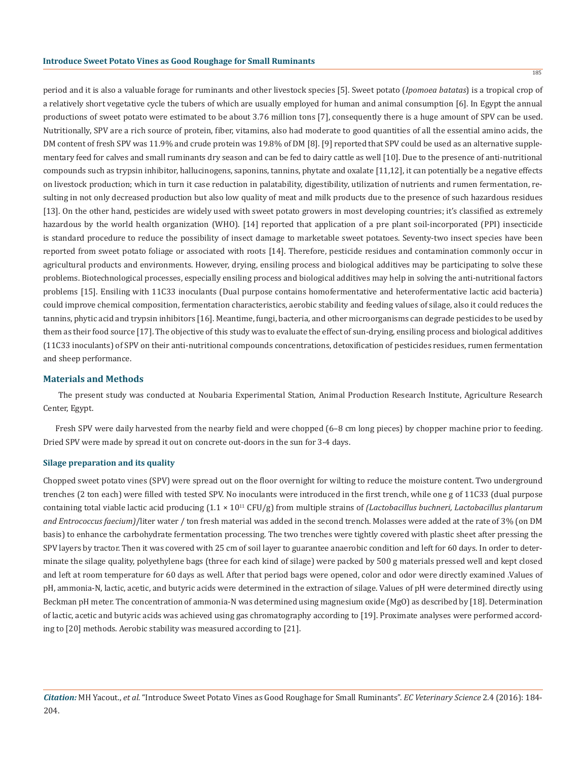period and it is also a valuable forage for ruminants and other livestock species [5]. Sweet potato (*Ipomoea batatas*) is a tropical crop of a relatively short vegetative cycle the tubers of which are usually employed for human and animal consumption [6]. In Egypt the annual productions of sweet potato were estimated to be about 3.76 million tons [7], consequently there is a huge amount of SPV can be used. Nutritionally, SPV are a rich source of protein, fiber, vitamins, also had moderate to good quantities of all the essential amino acids, the DM content of fresh SPV was 11.9% and crude protein was 19.8% of DM [8]. [9] reported that SPV could be used as an alternative supplementary feed for calves and small ruminants dry season and can be fed to dairy cattle as well [10]. Due to the presence of anti-nutritional compounds such as trypsin inhibitor, hallucinogens, saponins, tannins, phytate and oxalate [11,12], it can potentially be a negative effects on livestock production; which in turn it case reduction in palatability, digestibility, utilization of nutrients and rumen fermentation, resulting in not only decreased production but also low quality of meat and milk products due to the presence of such hazardous residues [13]. On the other hand, pesticides are widely used with sweet potato growers in most developing countries; it's classified as extremely hazardous by the world health organization (WHO). [14] reported that application of a pre plant soil-incorporated (PPI) insecticide is standard procedure to reduce the possibility of insect damage to marketable sweet potatoes. Seventy-two insect species have been reported from sweet potato foliage or associated with roots [14]. Therefore, pesticide residues and contamination commonly occur in agricultural products and environments. However, drying, ensiling process and biological additives may be participating to solve these problems. Biotechnological processes, especially ensiling process and biological additives may help in solving the anti-nutritional factors problems [15]. Ensiling with 11C33 inoculants (Dual purpose contains homofermentative and heterofermentative lactic acid bacteria) could improve chemical composition, fermentation characteristics, aerobic stability and feeding values of silage, also it could reduces the tannins, phytic acid and trypsin inhibitors [16]. Meantime, fungi, bacteria, and other microorganisms can degrade pesticides to be used by them as their food source [17]. The objective of this study was to evaluate the effect of sun-drying, ensiling process and biological additives (11C33 inoculants) of SPV on their anti-nutritional compounds concentrations, detoxification of pesticides residues, rumen fermentation and sheep performance.

#### **Materials and Methods**

 The present study was conducted at Noubaria Experimental Station, Animal Production Research Institute, Agriculture Research Center, Egypt.

Fresh SPV were daily harvested from the nearby field and were chopped (6–8 cm long pieces) by chopper machine prior to feeding. Dried SPV were made by spread it out on concrete out-doors in the sun for 3-4 days.

### **Silage preparation and its quality**

Chopped sweet potato vines (SPV) were spread out on the floor overnight for wilting to reduce the moisture content. Two underground trenches (2 ton each) were filled with tested SPV. No inoculants were introduced in the first trench, while one g of 11C33 (dual purpose containing total viable lactic acid producing (1.1 × 1011 CFU/g) from multiple strains of *(Lactobacillus buchneri, Lactobacillus plantarum and Entrococcus faecium)*/liter water / ton fresh material was added in the second trench. Molasses were added at the rate of 3% (on DM basis) to enhance the carbohydrate fermentation processing. The two trenches were tightly covered with plastic sheet after pressing the SPV layers by tractor. Then it was covered with 25 cm of soil layer to guarantee anaerobic condition and left for 60 days. In order to determinate the silage quality, polyethylene bags (three for each kind of silage) were packed by 500 g materials pressed well and kept closed and left at room temperature for 60 days as well. After that period bags were opened, color and odor were directly examined .Values of pH, ammonia-N, lactic, acetic, and butyric acids were determined in the extraction of silage. Values of pH were determined directly using Beckman pH meter. The concentration of ammonia-N was determined using magnesium oxide (MgO) as described by [18]. Determination of lactic, acetic and butyric acids was achieved using gas chromatography according to [19]. Proximate analyses were performed according to [20] methods. Aerobic stability was measured according to [21].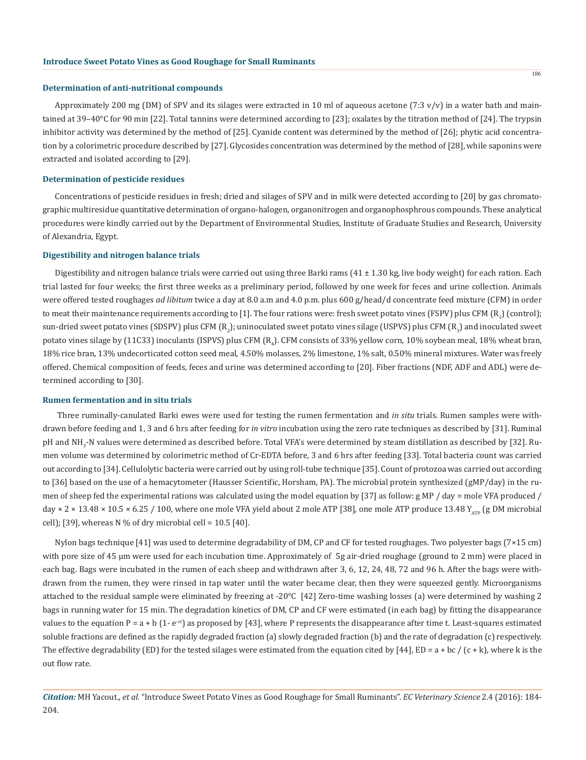#### **Determination of anti-nutritional compounds**

Approximately 200 mg (DM) of SPV and its silages were extracted in 10 ml of aqueous acetone (7:3  $v/v$ ) in a water bath and maintained at 39–40°C for 90 min [22]. Total tannins were determined according to [23]; oxalates by the titration method of [24]. The trypsin inhibitor activity was determined by the method of [25]. Cyanide content was determined by the method of [26]; phytic acid concentration by a colorimetric procedure described by [27]. Glycosides concentration was determined by the method of [28], while saponins were extracted and isolated according to [29].

#### **Determination of pesticide residues**

Concentrations of pesticide residues in fresh; dried and silages of SPV and in milk were detected according to [20] by gas chromatographic multiresidue quantitative determination of organo-halogen, organonitrogen and organophosphrous compounds. These analytical procedures were kindly carried out by the Department of Environmental Studies, Institute of Graduate Studies and Research, University of Alexandria, Egypt.

## **Digestibility and nitrogen balance trials**

Digestibility and nitrogen balance trials were carried out using three Barki rams  $(41 \pm 1.30 \text{ kg}$ , live body weight) for each ration. Each trial lasted for four weeks; the first three weeks as a preliminary period, followed by one week for feces and urine collection. Animals were offered tested roughages *ad libitum* twice a day at 8.0 a.m and 4.0 p.m. plus 600 g/head/d concentrate feed mixture (CFM) in order to meat their maintenance requirements according to [1]. The four rations were: fresh sweet potato vines (FSPV) plus CFM  $(\mathrm{R}_1)$  (control); sun-dried sweet potato vines (SDSPV) plus CFM (R<sub>2</sub>); uninoculated sweet potato vines silage (USPVS) plus CFM (R<sub>3</sub>) and inoculated sweet potato vines silage by (11C33) inoculants (ISPVS) plus CFM ( $R_4$ ). CFM consists of 33% yellow corn, 10% soybean meal, 18% wheat bran, 18% rice bran, 13% undecorticated cotton seed meal, 4.50% molasses, 2% limestone, 1% salt, 0.50% mineral mixtures. Water was freely offered. Chemical composition of feeds, feces and urine was determined according to [20]. Fiber fractions (NDF, ADF and ADL) were determined according to [30].

#### **Rumen fermentation and in situ trials**

 Three ruminally-canulated Barki ewes were used for testing the rumen fermentation and *in situ* trials. Rumen samples were withdrawn before feeding and 1, 3 and 6 hrs after feeding for *in vitro* incubation using the zero rate techniques as described by [31]. Ruminal pH and NH<sub>3</sub>-N values were determined as described before. Total VFA's were determined by steam distillation as described by [32]. Rumen volume was determined by colorimetric method of Cr-EDTA before, 3 and 6 hrs after feeding [33]. Total bacteria count was carried out according to [34]. Cellulolytic bacteria were carried out by using roll-tube technique [35]. Count of protozoa was carried out according to [36] based on the use of a hemacytometer (Hausser Scientific, Horsham, PA). The microbial protein synthesized (gMP/day) in the rumen of sheep fed the experimental rations was calculated using the model equation by [37] as follow: g MP / day = mole VFA produced / day  $\times$  2  $\times$  13.48  $\times$  10.5  $\times$  6.25 / 100, where one mole VFA yield about 2 mole ATP [38], one mole ATP produce 13.48  $Y_{\text{ATP}}$  (g DM microbial cell); [39], whereas N % of dry microbial cell =  $10.5$  [40].

Nylon bags technique [41] was used to determine degradability of DM, CP and CF for tested roughages. Two polyester bags (7×15 cm) with pore size of 45 µm were used for each incubation time. Approximately of 5g air-dried roughage (ground to 2 mm) were placed in each bag. Bags were incubated in the rumen of each sheep and withdrawn after 3, 6, 12, 24, 48, 72 and 96 h. After the bags were withdrawn from the rumen, they were rinsed in tap water until the water became clear, then they were squeezed gently. Microorganisms attached to the residual sample were eliminated by freezing at -20°C [42] Zero-time washing losses (a) were determined by washing 2 bags in running water for 15 min. The degradation kinetics of DM, CP and CF were estimated (in each bag) by fitting the disappearance values to the equation P = a + b (1- e<sup>-ct</sup>) as proposed by [43], where P represents the disappearance after time t. Least-squares estimated soluble fractions are defined as the rapidly degraded fraction (a) slowly degraded fraction (b) and the rate of degradation (c) respectively. The effective degradability (ED) for the tested silages were estimated from the equation cited by [44], ED = a + bc / (c + k), where k is the out flow rate.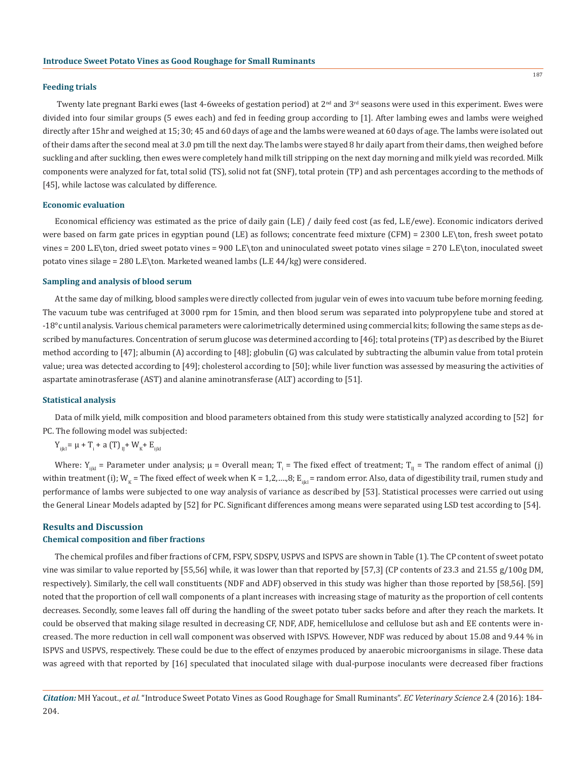#### **Feeding trials**

Twenty late pregnant Barki ewes (last 4-6weeks of gestation period) at 2<sup>nd</sup> and 3<sup>rd</sup> seasons were used in this experiment. Ewes were divided into four similar groups (5 ewes each) and fed in feeding group according to [1]. After lambing ewes and lambs were weighed directly after 15hr and weighed at 15; 30; 45 and 60 days of age and the lambs were weaned at 60 days of age. The lambs were isolated out of their dams after the second meal at 3.0 pm till the next day. The lambs were stayed 8 hr daily apart from their dams, then weighed before suckling and after suckling, then ewes were completely hand milk till stripping on the next day morning and milk yield was recorded. Milk components were analyzed for fat, total solid (TS), solid not fat (SNF), total protein (TP) and ash percentages according to the methods of [45], while lactose was calculated by difference.

#### **Economic evaluation**

Economical efficiency was estimated as the price of daily gain (L.E) / daily feed cost (as fed, L.E/ewe). Economic indicators derived were based on farm gate prices in egyptian pound (LE) as follows; concentrate feed mixture (CFM) = 2300 L.E\ton, fresh sweet potato vines = 200 L.E\ton, dried sweet potato vines = 900 L.E\ton and uninoculated sweet potato vines silage = 270 L.E\ton, inoculated sweet potato vines silage = 280 L.E\ton. Marketed weaned lambs (L.E 44/kg) were considered.

#### **Sampling and analysis of blood serum**

At the same day of milking, blood samples were directly collected from jugular vein of ewes into vacuum tube before morning feeding. The vacuum tube was centrifuged at 3000 rpm for 15min, and then blood serum was separated into polypropylene tube and stored at -18°c until analysis. Various chemical parameters were calorimetrically determined using commercial kits; following the same steps as described by manufactures. Concentration of serum glucose was determined according to [46]; total proteins (TP) as described by the Biuret method according to [47]; albumin (A) according to [48]; globulin (G) was calculated by subtracting the albumin value from total protein value; urea was detected according to [49]; cholesterol according to [50]; while liver function was assessed by measuring the activities of aspartate aminotrasferase (AST) and alanine aminotransferase (ALT) according to [51].

#### **Statistical analysis**

Data of milk yield, milk composition and blood parameters obtained from this study were statistically analyzed according to [52] for PC. The following model was subjected:

$$
Y_{ijkl} = \mu + T_i + a (T)_{ij} + W_{K} + E_{ijkl}
$$

Where:  $Y_{ijkl}$  = Parameter under analysis;  $\mu$  = Overall mean;  $T_i$  = The fixed effect of treatment;  $T_{ij}$  = The random effect of animal (j) within treatment (i); W<sub>K</sub> = The fixed effect of week when K = 1,2,….,8; E<sub>iikl</sub> = random error. Also, data of digestibility trail, rumen study and performance of lambs were subjected to one way analysis of variance as described by [53]. Statistical processes were carried out using the General Linear Models adapted by [52] for PC. Significant differences among means were separated using LSD test according to [54].

# **Results and Discussion Chemical composition and fiber fractions**

The chemical profiles and fiber fractions of CFM, FSPV, SDSPV, USPVS and ISPVS are shown in Table (1). The CP content of sweet potato vine was similar to value reported by [55,56] while, it was lower than that reported by [57,3] (CP contents of 23.3 and 21.55 g/100g DM, respectively). Similarly, the cell wall constituents (NDF and ADF) observed in this study was higher than those reported by [58,56]. [59] noted that the proportion of cell wall components of a plant increases with increasing stage of maturity as the proportion of cell contents decreases. Secondly, some leaves fall off during the handling of the sweet potato tuber sacks before and after they reach the markets. It could be observed that making silage resulted in decreasing CF, NDF, ADF, hemicellulose and cellulose but ash and EE contents were increased. The more reduction in cell wall component was observed with ISPVS. However, NDF was reduced by about 15.08 and 9.44 % in ISPVS and USPVS, respectively. These could be due to the effect of enzymes produced by anaerobic microorganisms in silage. These data was agreed with that reported by [16] speculated that inoculated silage with dual-purpose inoculants were decreased fiber fractions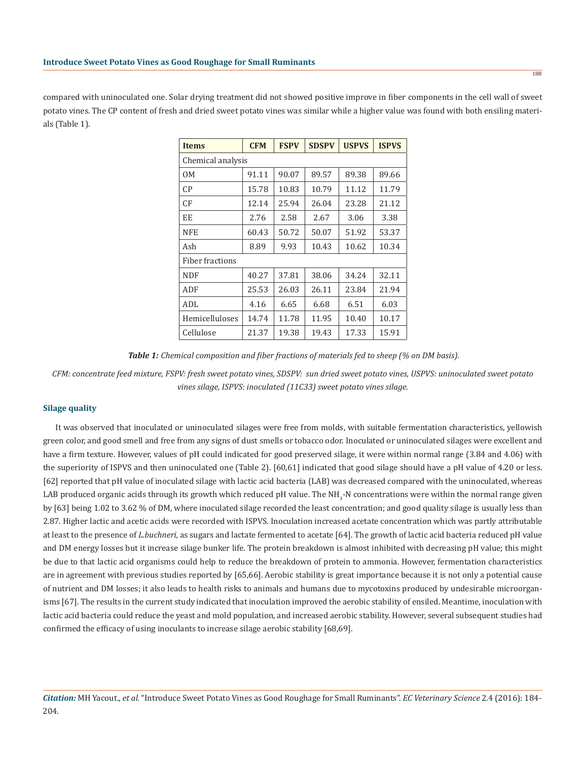compared with uninoculated one. Solar drying treatment did not showed positive improve in fiber components in the cell wall of sweet potato vines. The CP content of fresh and dried sweet potato vines was similar while a higher value was found with both ensiling materials (Table 1).

| <b>Items</b>      | <b>CFM</b> | <b>FSPV</b> | <b>SDSPV</b> | <b>USPVS</b> | <b>ISPVS</b> |  |  |  |
|-------------------|------------|-------------|--------------|--------------|--------------|--|--|--|
| Chemical analysis |            |             |              |              |              |  |  |  |
| OM                | 91.11      | 90.07       | 89.57        | 89.38        | 89.66        |  |  |  |
| CP                | 15.78      | 10.83       | 10.79        | 11.12        | 11.79        |  |  |  |
| CF                | 12.14      | 25.94       | 26.04        | 23.28        | 21.12        |  |  |  |
| EE                | 2.76       | 2.58        | 2.67         | 3.06         | 3.38         |  |  |  |
| <b>NFE</b>        | 60.43      | 50.72       | 50.07        | 51.92        | 53.37        |  |  |  |
| Ash               | 8.89       | 9.93        | 10.43        | 10.62        | 10.34        |  |  |  |
| Fiber fractions   |            |             |              |              |              |  |  |  |
| <b>NDF</b>        | 40.27      | 37.81       | 38.06        | 34.24        | 32.11        |  |  |  |
| ADF               | 25.53      | 26.03       | 26.11        | 23.84        | 21.94        |  |  |  |
| ADL               | 4.16       | 6.65        | 6.68         | 6.51         | 6.03         |  |  |  |
| Hemicelluloses    | 14.74      | 11.78       | 11.95        | 10.40        | 10.17        |  |  |  |
| Cellulose         | 21.37      | 19.38       | 19.43        | 17.33        | 15.91        |  |  |  |

 *Table 1: Chemical composition and fiber fractions of materials fed to sheep (% on DM basis).*

*CFM: concentrate feed mixture, FSPV: fresh sweet potato vines, SDSPV: sun dried sweet potato vines, USPVS: uninoculated sweet potato vines silage, ISPVS: inoculated (11C33) sweet potato vines silage.*

### **Silage quality**

It was observed that inoculated or uninoculated silages were free from molds, with suitable fermentation characteristics, yellowish green color, and good smell and free from any signs of dust smells or tobacco odor. Inoculated or uninoculated silages were excellent and have a firm texture. However, values of pH could indicated for good preserved silage, it were within normal range (3.84 and 4.06) with the superiority of ISPVS and then uninoculated one (Table 2). [60,61] indicated that good silage should have a pH value of 4.20 or less. [62] reported that pH value of inoculated silage with lactic acid bacteria (LAB) was decreased compared with the uninoculated, whereas LAB produced organic acids through its growth which reduced pH value. The NH<sub>3</sub>-N concentrations were within the normal range given by [63] being 1.02 to 3.62 % of DM, where inoculated silage recorded the least concentration; and good quality silage is usually less than 2.87. Higher lactic and acetic acids were recorded with ISPVS. Inoculation increased acetate concentration which was partly attributable at least to the presence of *L.buchneri,* as sugars and lactate fermented to acetate [64]. The growth of lactic acid bacteria reduced pH value and DM energy losses but it increase silage bunker life. The protein breakdown is almost inhibited with decreasing pH value; this might be due to that lactic acid organisms could help to reduce the breakdown of protein to ammonia. However, fermentation characteristics are in agreement with previous studies reported by [65,66]. Aerobic stability is great importance because it is not only a potential cause of nutrient and DM losses; it also leads to health risks to animals and humans due to mycotoxins produced by undesirable microorganisms [67]. The results in the current study indicated that inoculation improved the aerobic stability of ensiled. Meantime, inoculation with lactic acid bacteria could reduce the yeast and mold population, and increased aerobic stability. However, several subsequent studies had confirmed the efficacy of using inoculants to increase silage aerobic stability [68,69].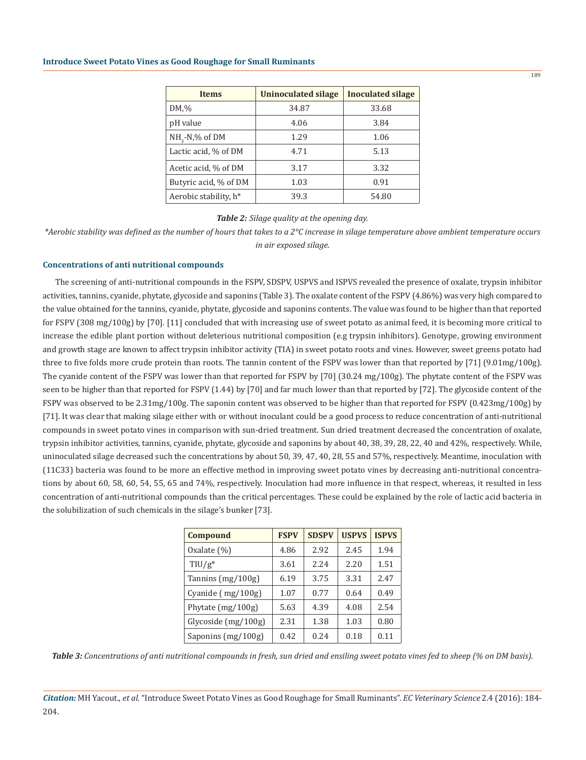#### **Introduce Sweet Potato Vines as Good Roughage for Small Ruminants**

| <b>Items</b>          | <b>Uninoculated silage</b> | <b>Inoculated silage</b> |
|-----------------------|----------------------------|--------------------------|
| $DM, \%$              | 34.87                      | 33.68                    |
| pH value              | 4.06                       | 3.84                     |
| $NH2-N$ ,% of DM      | 1.29                       | 1.06                     |
| Lactic acid, % of DM  | 4.71                       | 5.13                     |
| Acetic acid, % of DM  | 3.17                       | 3.32                     |
| Butyric acid, % of DM | 1.03                       | 0.91                     |
| Aerobic stability, h* | 39.3                       | 54.80                    |

## *Table 2: Silage quality at the opening day.*

*\*Aerobic stability was defined as the number of hours that takes to a 2°C increase in silage temperature above ambient temperature occurs in air exposed silage.*

## **Concentrations of anti nutritional compounds**

The screening of anti-nutritional compounds in the FSPV, SDSPV, USPVS and ISPVS revealed the presence of oxalate, trypsin inhibitor activities, tannins, cyanide, phytate, glycoside and saponins (Table 3). The oxalate content of the FSPV (4.86%) was very high compared to the value obtained for the tannins, cyanide, phytate, glycoside and saponins contents. The value was found to be higher than that reported for FSPV (308 mg/100g) by [70]. [11] concluded that with increasing use of sweet potato as animal feed, it is becoming more critical to increase the edible plant portion without deleterious nutritional composition (e.g trypsin inhibitors). Genotype, growing environment and growth stage are known to affect trypsin inhibitor activity (TIA) in sweet potato roots and vines. However, sweet greens potato had three to five folds more crude protein than roots. The tannin content of the FSPV was lower than that reported by [71] (9.01mg/100g). The cyanide content of the FSPV was lower than that reported for FSPV by [70] (30.24 mg/100g). The phytate content of the FSPV was seen to be higher than that reported for FSPV (1.44) by [70] and far much lower than that reported by [72]. The glycoside content of the FSPV was observed to be 2.31mg/100g. The saponin content was observed to be higher than that reported for FSPV (0.423mg/100g) by [71]. It was clear that making silage either with or without inoculant could be a good process to reduce concentration of anti-nutritional compounds in sweet potato vines in comparison with sun-dried treatment. Sun dried treatment decreased the concentration of oxalate, trypsin inhibitor activities, tannins, cyanide, phytate, glycoside and saponins by about 40, 38, 39, 28, 22, 40 and 42%, respectively. While, uninoculated silage decreased such the concentrations by about 50, 39, 47, 40, 28, 55 and 57%, respectively. Meantime, inoculation with (11C33) bacteria was found to be more an effective method in improving sweet potato vines by decreasing anti-nutritional concentrations by about 60, 58, 60, 54, 55, 65 and 74%, respectively. Inoculation had more influence in that respect, whereas, it resulted in less concentration of anti-nutritional compounds than the critical percentages. These could be explained by the role of lactic acid bacteria in the solubilization of such chemicals in the silage's bunker [73].

| Compound              | <b>FSPV</b> | <b>SDSPV</b> | <b>USPVS</b> | <b>ISPVS</b> |
|-----------------------|-------------|--------------|--------------|--------------|
| Oxalate $(\%)$        | 4.86        | 2.92         | 2.45         | 1.94         |
| $TIU/g*$              | 3.61        | 2.24         | 2.20         | 1.51         |
| Tannins (mg/100g)     | 6.19        | 3.75         | 3.31         | 2.47         |
| Cyanide (mg/100g)     | 1.07        | 0.77         | 0.64         | 0.49         |
| Phytate (mg/100g)     | 5.63        | 4.39         | 4.08         | 2.54         |
| Glycoside $(mg/100g)$ | 2.31        | 1.38         | 1.03         | 0.80         |
| Saponins (mg/100g)    | 0.42        | 0.24         | 0.18         | 0.11         |

*Table 3: Concentrations of anti nutritional compounds in fresh, sun dried and ensiling sweet potato vines fed to sheep (% on DM basis).*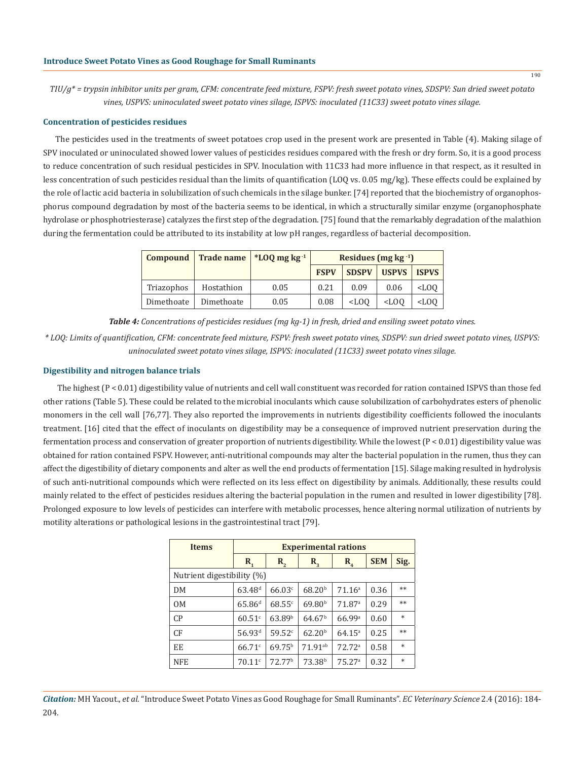*TIU/g\* = trypsin inhibitor units per gram, CFM: concentrate feed mixture, FSPV: fresh sweet potato vines, SDSPV: Sun dried sweet potato vines, USPVS: uninoculated sweet potato vines silage, ISPVS: inoculated (11C33) sweet potato vines silage.*

#### **Concentration of pesticides residues**

The pesticides used in the treatments of sweet potatoes crop used in the present work are presented in Table (4). Making silage of SPV inoculated or uninoculated showed lower values of pesticides residues compared with the fresh or dry form. So, it is a good process to reduce concentration of such residual pesticides in SPV. Inoculation with 11C33 had more influence in that respect, as it resulted in less concentration of such pesticides residual than the limits of quantification (LOQ vs. 0.05 mg/kg). These effects could be explained by the role of lactic acid bacteria in solubilization of such chemicals in the silage bunker. [74] reported that the biochemistry of organophosphorus compound degradation by most of the bacteria seems to be identical, in which a structurally similar enzyme (organophosphate hydrolase or phosphotriesterase) catalyzes the first step of the degradation. [75] found that the remarkably degradation of the malathion during the fermentation could be attributed to its instability at low pH ranges, regardless of bacterial decomposition.

| Compound   |            | Trade name $*$ LOO mg kg <sup>-1</sup> | Residues (mg $kg^{-1}$ ) |              |              |              |
|------------|------------|----------------------------------------|--------------------------|--------------|--------------|--------------|
|            |            |                                        | <b>FSPV</b>              | <b>SDSPV</b> | <b>USPVS</b> | <b>ISPVS</b> |
| Triazophos | Hostathion | 0.05                                   | 0.21                     | 0.09         | 0.06         | $<$ LOO      |
| Dimethoate | Dimethoate | 0.05                                   | 0.08                     | $<$ LOO      | $<$ LOO      | $<$ LOO      |

*Table 4: Concentrations of pesticides residues (mg kg-1) in fresh, dried and ensiling sweet potato vines.*

*\* LOQ: Limits of quantification, CFM: concentrate feed mixture, FSPV: fresh sweet potato vines, SDSPV: sun dried sweet potato vines, USPVS: uninoculated sweet potato vines silage, ISPVS: inoculated (11C33) sweet potato vines silage.*

## **Digestibility and nitrogen balance trials**

 The highest (P < 0.01) digestibility value of nutrients and cell wall constituent was recorded for ration contained ISPVS than those fed other rations (Table 5). These could be related to the microbial inoculants which cause solubilization of carbohydrates esters of phenolic monomers in the cell wall [76,77]. They also reported the improvements in nutrients digestibility coefficients followed the inoculants treatment. [16] cited that the effect of inoculants on digestibility may be a consequence of improved nutrient preservation during the fermentation process and conservation of greater proportion of nutrients digestibility. While the lowest (P < 0.01) digestibility value was obtained for ration contained FSPV. However, anti-nutritional compounds may alter the bacterial population in the rumen, thus they can affect the digestibility of dietary components and alter as well the end products of fermentation [15]. Silage making resulted in hydrolysis of such anti-nutritional compounds which were reflected on its less effect on digestibility by animals. Additionally, these results could mainly related to the effect of pesticides residues altering the bacterial population in the rumen and resulted in lower digestibility [78]. Prolonged exposure to low levels of pesticides can interfere with metabolic processes, hence altering normal utilization of nutrients by motility alterations or pathological lesions in the gastrointestinal tract [79].

| <b>Items</b>               |                      | <b>Experimental rations</b> |                                      |                    |            |        |  |  |  |
|----------------------------|----------------------|-----------------------------|--------------------------------------|--------------------|------------|--------|--|--|--|
|                            | $\mathbf{R}_{i}$     | $\mathbf{R}_{2}$            | $\mathbf{R}_{\scriptscriptstyle{2}}$ | $R_{4}$            | <b>SEM</b> | Sig.   |  |  |  |
| Nutrient digestibility (%) |                      |                             |                                      |                    |            |        |  |  |  |
| DM                         | $63.48$ <sup>d</sup> | 66.03c                      | 68.20 <sup>b</sup>                   | 71.16 <sup>a</sup> | 0.36       | $**$   |  |  |  |
| OM                         | $65.86$ <sup>d</sup> | 68.55c                      | 69.80 <sup>b</sup>                   | 71.87 <sup>a</sup> | 0.29       | $**$   |  |  |  |
| CP                         | $60.51$ <sup>c</sup> | 63.89 <sup>b</sup>          | 64.67 <sup>b</sup>                   | 66.99 <sup>a</sup> | 0.60       | $\ast$ |  |  |  |
| CF                         | 56.93 <sup>d</sup>   | 59.52c                      | 62.20 <sup>b</sup>                   | $64.15^{\circ}$    | 0.25       | $**$   |  |  |  |
| EE                         | 66.71c               | $69.75^{b}$                 | 71.91 <sup>ab</sup>                  | 72.72 <sup>a</sup> | 0.58       | $\ast$ |  |  |  |
| <b>NFE</b>                 | 70.11c               | 72.77 <sup>b</sup>          | 73.38 <sup>b</sup>                   | 75.27a             | 0.32       | $\ast$ |  |  |  |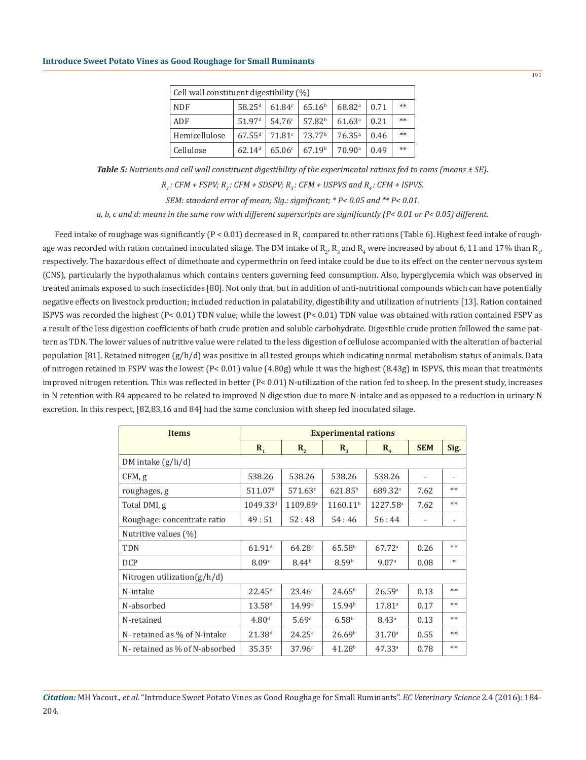| Cell wall constituent digestibility (%) |                    |        |                    |                    |      |      |  |
|-----------------------------------------|--------------------|--------|--------------------|--------------------|------|------|--|
| <b>NDF</b>                              | $58.25^{d}$        | 61.84c | 65.16 <sup>b</sup> | 68.82 <sup>a</sup> | 0.71 | $**$ |  |
| ADF                                     | 51.97 <sup>d</sup> | 54.76c | 57.82 <sup>b</sup> | 61.63 <sup>a</sup> | 0.21 | $**$ |  |
| Hemicellulose                           | $67.55^{d}$        | 71.81c | 73.77 <sup>b</sup> | $76.35^{a}$        | 0.46 | $**$ |  |
| Cellulose                               | 62.14 <sup>d</sup> | 65.06c | 67.19 <sup>b</sup> | 70.90 <sup>a</sup> | 0.49 | $**$ |  |

*Table 5: Nutrients and cell wall constituent digestibility of the experimental rations fed to rams (means ± SE).*

*R<sub>2</sub>* : *CFM + FSPV; R<sub>2</sub>* : *CFM + SDSPV; R<sub>2</sub> : <i>CFM + USPVS and R<sub>2</sub></sub>* : *CFM + ISPVS.* 

*SEM: standard error of mean; Sig.: significant; \* P< 0.05 and \*\* P< 0.01.*

*a, b, c and d: means in the same row with different superscripts are significantly (P< 0.01 or P< 0.05) different.*

Feed intake of roughage was significantly (P < 0.01) decreased in  $\mathrm{R_{_1}}$  compared to other rations (Table 6). Highest feed intake of roughage was recorded with ration contained inoculated silage. The DM intake of  $\rm R_{2'}$   $\rm R_{3}$  and  $\rm R_{4}$  were increased by about 6, 11 and 17% than  $\rm R_{1'}$ respectively. The hazardous effect of dimethoate and cypermethrin on feed intake could be due to its effect on the center nervous system (CNS), particularly the hypothalamus which contains centers governing feed consumption. Also, hyperglycemia which was observed in treated animals exposed to such insecticides [80]. Not only that, but in addition of anti-nutritional compounds which can have potentially negative effects on livestock production; included reduction in palatability, digestibility and utilization of nutrients [13]. Ration contained ISPVS was recorded the highest (P< 0.01) TDN value; while the lowest (P< 0.01) TDN value was obtained with ration contained FSPV as a result of the less digestion coefficients of both crude protien and soluble carbohydrate. Digestible crude protien followed the same pattern as TDN. The lower values of nutritive value were related to the less digestion of cellulose accompanied with the alteration of bacterial population [81]. Retained nitrogen (g/h/d) was positive in all tested groups which indicating normal metabolism status of animals. Data of nitrogen retained in FSPV was the lowest (P< 0.01) value (4.80g) while it was the highest (8.43g) in ISPVS, this mean that treatments improved nitrogen retention. This was reflected in better (P< 0.01) N-utilization of the ration fed to sheep. In the present study, increases in N retention with R4 appeared to be related to improved N digestion due to more N-intake and as opposed to a reduction in urinary N excretion. In this respect, [82,83,16 and 84] had the same conclusion with sheep fed inoculated silage.

| <b>Items</b>                   | <b>Experimental rations</b> |                   |                      |                      |            |        |  |
|--------------------------------|-----------------------------|-------------------|----------------------|----------------------|------------|--------|--|
|                                | $\mathbf{R}_{1}$            | $\mathbf{R}_{2}$  | $\mathbf{R}_{3}$     | $R_{4}$              | <b>SEM</b> | Sig.   |  |
| DM intake $(g/h/d)$            |                             |                   |                      |                      |            |        |  |
| CFM, g                         | 538.26                      | 538.26            | 538.26               | 538.26               |            | -      |  |
| roughages, g                   | 511.07 <sup>d</sup>         | $571.63^{\circ}$  | $621.85^{\rm b}$     | 689.32 <sup>a</sup>  | 7.62       | $**$   |  |
| Total DMI, g                   | $1049.33^{d}$               | 1109.89c          | 1160.11 <sup>b</sup> | 1227.58 <sup>a</sup> | 7.62       | $**$   |  |
| Roughage: concentrate ratio    | 49:51                       | 52:48             | 54:46                | 56:44                |            |        |  |
| Nutritive values (%)           |                             |                   |                      |                      |            |        |  |
| <b>TDN</b>                     | $61.91$ <sup>d</sup>        | 64.28c            | 65.58 <sup>b</sup>   | $67.72$ <sup>a</sup> | 0.26       | $**$   |  |
| <b>DCP</b>                     | 8.09c                       | 8.44 <sup>b</sup> | 8.59 <sup>b</sup>    | 9.07 <sup>a</sup>    | 0.08       | $\ast$ |  |
| Nitrogen utilization $(g/h/d)$ |                             |                   |                      |                      |            |        |  |
| N-intake                       | 22.45 <sup>d</sup>          | 23.46c            | $24.65^{b}$          | 26.59a               | 0.13       | $**$   |  |
| N-absorbed                     | $13.58^{d}$                 | 14.99c            | 15.94 <sup>b</sup>   | $17.81^{\circ}$      | 0.17       | $**$   |  |
| N-retained                     | 4.80 <sup>d</sup>           | 5.69 <sup>c</sup> | 6.58 <sup>b</sup>    | 8.43 <sup>a</sup>    | 0.13       | $**$   |  |
| N-retained as % of N-intake    | $21.38^{d}$                 | 24.25c            | 26.69 <sup>b</sup>   | 31.70 <sup>a</sup>   | 0.55       | $**$   |  |
| N-retained as % of N-absorbed  | 35.35c                      | 37.96c            | 41.28 <sup>b</sup>   | 47.33 <sup>a</sup>   | 0.78       | $**$   |  |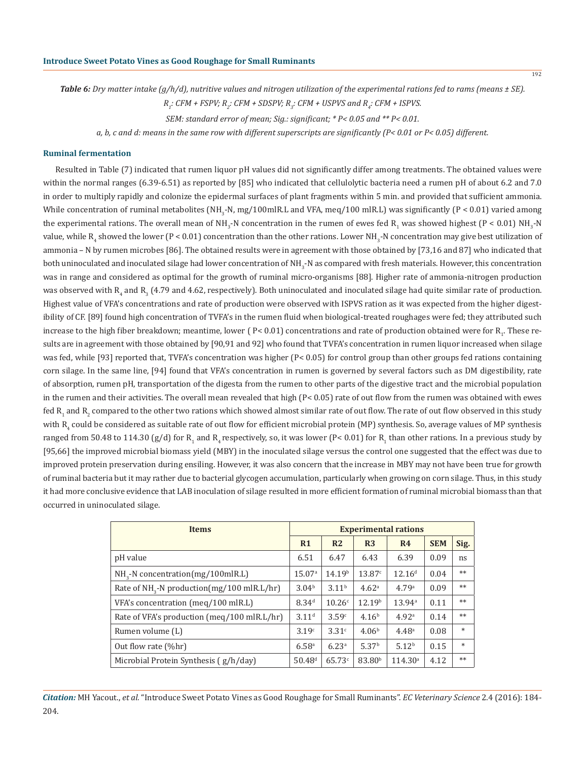*Table 6: Dry matter intake (g/h/d), nutritive values and nitrogen utilization of the experimental rations fed to rams (means ± SE).*

*R1 : CFM + FSPV; R<sup>2</sup> : CFM + SDSPV; R3 : CFM + USPVS and R4 : CFM + ISPVS.*

*SEM: standard error of mean; Sig.: significant; \* P< 0.05 and \*\* P< 0.01.*

*a, b, c and d: means in the same row with different superscripts are significantly (P< 0.01 or P< 0.05) different.*

## **Ruminal fermentation**

Resulted in Table (7) indicated that rumen liquor pH values did not significantly differ among treatments. The obtained values were within the normal ranges (6.39-6.51) as reported by [85] who indicated that cellulolytic bacteria need a rumen pH of about 6.2 and 7.0 in order to multiply rapidly and colonize the epidermal surfaces of plant fragments within 5 min. and provided that sufficient ammonia. While concentration of ruminal metabolites (NH<sub>3</sub>-N, mg/100mlR.L and VFA, meq/100 mlR.L) was significantly (P < 0.01) varied among the experimental rations. The overall mean of NH<sub>3</sub>-N concentration in the rumen of ewes fed R<sub>1</sub> was showed highest (P < 0.01) NH<sub>3</sub>-N value, while  $\rm R^{}_4$  showed the lower (P < 0.01) concentration than the other rations. Lower NH $\rm _3$ -N concentration may give best utilization of ammonia – N by rumen microbes [86]. The obtained results were in agreement with those obtained by [73,16 and 87] who indicated that both uninoculated and inoculated silage had lower concentration of NH $_{\rm 3}$ -N as compared with fresh materials. However, this concentration was in range and considered as optimal for the growth of ruminal micro-organisms [88]. Higher rate of ammonia-nitrogen production was observed with  $\mathrm{R_{_4}}$  and  $\mathrm{R_{_3}}$  (4.79 and 4.62, respectively). Both uninoculated and inoculated silage had quite similar rate of production. Highest value of VFA's concentrations and rate of production were observed with ISPVS ration as it was expected from the higher digestibility of CF. [89] found high concentration of TVFA's in the rumen fluid when biological-treated roughages were fed; they attributed such increase to the high fiber breakdown; meantime, lower (  $P< 0.01$ ) concentrations and rate of production obtained were for  $\mathrm{R}_{1}$ . These results are in agreement with those obtained by [90,91 and 92] who found that TVFA's concentration in rumen liquor increased when silage was fed, while [93] reported that, TVFA's concentration was higher (P< 0.05) for control group than other groups fed rations containing corn silage. In the same line, [94] found that VFA's concentration in rumen is governed by several factors such as DM digestibility, rate of absorption, rumen pH, transportation of the digesta from the rumen to other parts of the digestive tract and the microbial population in the rumen and their activities. The overall mean revealed that high (P< 0.05) rate of out flow from the rumen was obtained with ewes fed  $\rm R^{}_1$  and  $\rm R^{}_2$  compared to the other two rations which showed almost similar rate of out flow. The rate of out flow observed in this study with  $\mathrm{R_{4}}$  could be considered as suitable rate of out flow for efficient microbial protein (MP) synthesis. So, average values of MP synthesis ranged from 50.48 to 114.30 (g/d) for  $\mathrm{R_{_4}}$  and  $\mathrm{R_{_4}}$ respectively, so, it was lower (P< 0.01) for  $\mathrm{R_{_1}}$  than other rations. In a previous study by [95,66] the improved microbial biomass yield (MBY) in the inoculated silage versus the control one suggested that the effect was due to improved protein preservation during ensiling. However, it was also concern that the increase in MBY may not have been true for growth of ruminal bacteria but it may rather due to bacterial glycogen accumulation, particularly when growing on corn silage. Thus, in this study it had more conclusive evidence that LAB inoculation of silage resulted in more efficient formation of ruminal microbial biomass than that occurred in uninoculated silage.

| <b>Items</b>                                           |                   |                    |                    | <b>Experimental rations</b> |            |        |
|--------------------------------------------------------|-------------------|--------------------|--------------------|-----------------------------|------------|--------|
|                                                        | R <sub>1</sub>    | R <sub>2</sub>     | R <sub>3</sub>     | R <sub>4</sub>              | <b>SEM</b> | Sig.   |
| pH value                                               | 6.51              | 6.47               | 6.43               | 6.39                        | 0.09       | ns     |
| NH <sub>2</sub> -N concentration(mg/100mlR.L)          | 15.07a            | 14.19 <sup>b</sup> | 13.87c             | 12.16 <sup>d</sup>          | 0.04       | $**$   |
| Rate of NH <sub>3</sub> -N production(mg/100 mlR.L/hr) | 3.04 <sup>b</sup> | 3.11 <sup>b</sup>  | 4.62 <sup>a</sup>  | 4.79a                       | 0.09       | $**$   |
| VFA's concentration (meg/100 mlR.L)                    | 8.34 <sup>d</sup> | 10.26c             | 12.19 <sup>b</sup> | 13.94a                      | 0.11       | $**$   |
| Rate of VFA's production (meq/100 mlR.L/hr)            | 3.11 <sup>d</sup> | 3.59 <sup>c</sup>  | 4.16 <sup>b</sup>  | 4.92 <sup>a</sup>           | 0.14       | $***$  |
| Rumen volume (L)                                       | 3.19c             | 3.31c              | 4.06 <sup>b</sup>  | 4.48 <sup>a</sup>           | 0.08       | $\ast$ |
| Out flow rate (%hr)                                    | 6.58 <sup>a</sup> | 6.23 <sup>a</sup>  | 5.37 <sup>b</sup>  | 5.12 <sup>b</sup>           | 0.15       | $\ast$ |
| Microbial Protein Synthesis (g/h/day)                  | $50.48^{d}$       | 65.73c             | 83.80 <sup>b</sup> | 114.30 <sup>a</sup>         | 4.12       | $**$   |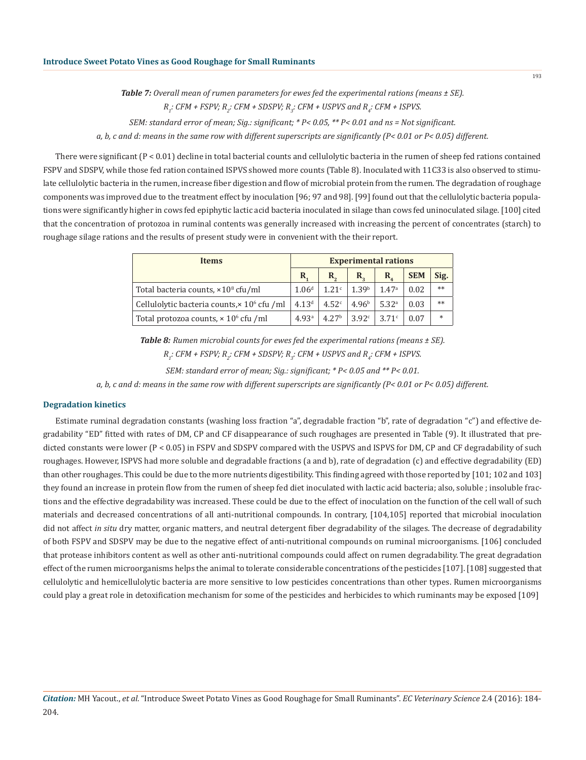*Table 7: Overall mean of rumen parameters for ewes fed the experimental rations (means ± SE).*

```
R1
: CFM + FSPV; R2
: CFM + SDSPV; R3
: CFM + USPVS and R4
: CFM + ISPVS.
```
*SEM: standard error of mean; Sig.: significant; \* P< 0.05, \*\* P< 0.01 and ns = Not significant.*

*a, b, c and d: means in the same row with different superscripts are significantly (P< 0.01 or P< 0.05) different.*

There were significant (P < 0.01) decline in total bacterial counts and cellulolytic bacteria in the rumen of sheep fed rations contained FSPV and SDSPV, while those fed ration contained ISPVS showed more counts (Table 8). Inoculated with 11C33 is also observed to stimulate cellulolytic bacteria in the rumen, increase fiber digestion and flow of microbial protein from the rumen. The degradation of roughage components was improved due to the treatment effect by inoculation [96; 97 and 98]. [99] found out that the cellulolytic bacteria populations were significantly higher in cows fed epiphytic lactic acid bacteria inoculated in silage than cows fed uninoculated silage. [100] cited that the concentration of protozoa in ruminal contents was generally increased with increasing the percent of concentrates (starch) to roughage silage rations and the results of present study were in convenient with the their report.

| <b>Items</b>                                                   |                   | <b>Experimental rations</b> |                       |                                      |            |        |  |  |
|----------------------------------------------------------------|-------------------|-----------------------------|-----------------------|--------------------------------------|------------|--------|--|--|
|                                                                | R.                | $\mathbf{R}_{\alpha}$       | $\mathbf{R}_{\alpha}$ | $\mathbf{R}_{\scriptscriptstyle{A}}$ | <b>SEM</b> | Sig.   |  |  |
| Total bacteria counts, $\times 10^8$ cfu/ml                    | 1.06 <sup>d</sup> | 1.21 <sup>c</sup>           | 1.39 <sup>b</sup>     | 1.47a                                | 0.02       | $**$   |  |  |
| Cellulolytic bacteria counts, $\times$ 10 <sup>6</sup> cfu /ml | 4.13 <sup>d</sup> | 4.52 <sup>c</sup>           | 4.96 <sup>b</sup>     | 5.32 <sup>a</sup>                    | 0.03       | $**$   |  |  |
| Total protozoa counts, $\times$ 10 <sup>6</sup> cfu /ml        | 4.93 <sup>a</sup> | 4.27 <sup>b</sup>           | 3.92c                 | 3.71c                                | 0.07       | $\ast$ |  |  |

*Table 8: Rumen microbial counts for ewes fed the experimental rations (means ± SE). R1 : CFM + FSPV; R<sup>2</sup> : CFM + SDSPV; R3 : CFM + USPVS and R4 : CFM + ISPVS.*

*SEM: standard error of mean; Sig.: significant; \* P< 0.05 and \*\* P< 0.01.*

*a, b, c and d: means in the same row with different superscripts are significantly (P< 0.01 or P< 0.05) different.*

## **Degradation kinetics**

Estimate ruminal degradation constants (washing loss fraction "a", degradable fraction "b", rate of degradation "c") and effective degradability "ED" fitted with rates of DM, CP and CF disappearance of such roughages are presented in Table (9). It illustrated that predicted constants were lower (P < 0.05) in FSPV and SDSPV compared with the USPVS and ISPVS for DM, CP and CF degradability of such roughages. However, ISPVS had more soluble and degradable fractions (a and b), rate of degradation (c) and effective degradability (ED) than other roughages. This could be due to the more nutrients digestibility. This finding agreed with those reported by [101; 102 and 103] they found an increase in protein flow from the rumen of sheep fed diet inoculated with lactic acid bacteria; also, soluble ; insoluble fractions and the effective degradability was increased. These could be due to the effect of inoculation on the function of the cell wall of such materials and decreased concentrations of all anti-nutritional compounds. In contrary, [104,105] reported that microbial inoculation did not affect *in situ* dry matter, organic matters, and neutral detergent fiber degradability of the silages. The decrease of degradability of both FSPV and SDSPV may be due to the negative effect of anti-nutritional compounds on ruminal microorganisms. [106] concluded that protease inhibitors content as well as other anti-nutritional compounds could affect on rumen degradability. The great degradation effect of the rumen microorganisms helps the animal to tolerate considerable concentrations of the pesticides [107]. [108] suggested that cellulolytic and hemicellulolytic bacteria are more sensitive to low pesticides concentrations than other types. Rumen microorganisms could play a great role in detoxification mechanism for some of the pesticides and herbicides to which ruminants may be exposed [109]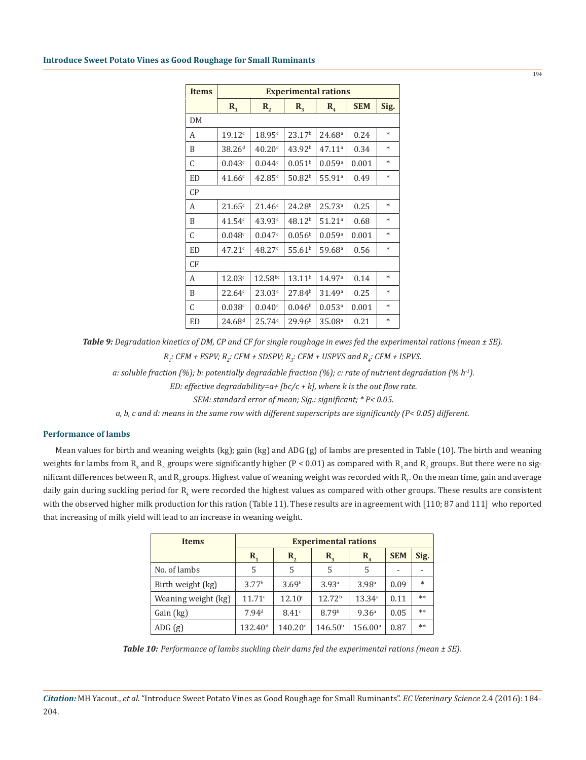| <b>Items</b> |                    | <b>Experimental rations</b> |                    |                      |            |        |  |  |
|--------------|--------------------|-----------------------------|--------------------|----------------------|------------|--------|--|--|
|              | $R_{1}$            | $R_{2}$                     | $R_{3}$            | $R_{4}$              | <b>SEM</b> | Sig.   |  |  |
| DM           |                    |                             |                    |                      |            |        |  |  |
| А            | 19.12c             | 18.95c                      | 23.17 <sup>b</sup> | 24.68 <sup>a</sup>   | 0.24       | $\ast$ |  |  |
| B            | 38.26 <sup>d</sup> | 40.20c                      | 43.92 <sup>b</sup> | $47.11^a$            | 0.34       | $\ast$ |  |  |
| C            | 0.043c             | 0.044c                      | $0.051^{\rm b}$    | 0.059a               | 0.001      | $\ast$ |  |  |
| <b>ED</b>    | 41.66c             | 42.85c                      | $50.82^{b}$        | 55.91a               | 0.49       | *      |  |  |
| CP           |                    |                             |                    |                      |            |        |  |  |
| А            | 21.65c             | 21.46c                      | 24.28 <sup>b</sup> | 25.73a               | 0.25       | $\ast$ |  |  |
| B            | 41.54c             | 43.93c                      | 48.12 <sup>b</sup> | $51.21$ <sup>a</sup> | 0.68       | $\ast$ |  |  |
| C            | 0.048c             | 0.047c                      | 0.056 <sup>b</sup> | 0.059a               | 0.001      | $\ast$ |  |  |
| <b>ED</b>    | 47.21c             | 48.27c                      | $55.61^{b}$        | $59.68$ <sup>a</sup> | 0.56       | $\ast$ |  |  |
| CF           |                    |                             |                    |                      |            |        |  |  |
| A            | 12.03c             | $12.58^{bc}$                | 13.11 <sup>b</sup> | 14.97a               | 0.14       | $\ast$ |  |  |
| B            | 22.64c             | 23.03c                      | 27.84 <sup>b</sup> | 31.49a               | 0.25       | $\ast$ |  |  |
| C            | 0.038c             | 0.040c                      | 0.046 <sup>b</sup> | $0.053$ <sup>a</sup> | 0.001      | $\ast$ |  |  |
| ED           | $24.68^{d}$        | 25.74c                      | 29.96 <sup>b</sup> | 35.08 <sup>a</sup>   | 0.21       | $\ast$ |  |  |

*Table 9: Degradation kinetics of DM, CP and CF for single roughage in ewes fed the experimental rations (mean ± SE). R1 : CFM + FSPV; R<sup>2</sup> : CFM + SDSPV; R3 : CFM + USPVS and R4 : CFM + ISPVS.*

 *a: soluble fraction (%); b: potentially degradable fraction (%); c: rate of nutrient degradation (% h-1).*

 *ED: effective degradability=a+ [bc/c + k], where k is the out flow rate.*

 *SEM: standard error of mean; Sig.: significant; \* P< 0.05.* 

*a, b, c and d: means in the same row with different superscripts are significantly (P< 0.05) different.*

# **Performance of lambs**

Mean values for birth and weaning weights (kg); gain (kg) and ADG (g) of lambs are presented in Table (10). The birth and weaning weights for lambs from  $\mathrm{R}_{_3}$  and  $\mathrm{R}_{_4}$  groups were significantly higher (P < 0.01) as compared with  $\mathrm{R}_{_1}$  and  $\mathrm{R}_{_2}$  groups. But there were no significant differences between  $\mathrm{R_{_1}}$  and  $\mathrm{R_{_2}}$  groups. Highest value of weaning weight was recorded with  $\mathrm{R_{_4}}.$  On the mean time, gain and average daily gain during suckling period for  $\mathrm{R_{4}}$  were recorded the highest values as compared with other groups. These results are consistent with the observed higher milk production for this ration (Table 11). These results are in agreement with [110; 87 and 111] who reported that increasing of milk yield will lead to an increase in weaning weight.

| <b>Items</b>        | <b>Experimental rations</b> |                                                                        |                     |                    |      |        |  |
|---------------------|-----------------------------|------------------------------------------------------------------------|---------------------|--------------------|------|--------|--|
|                     | $R_{1}$                     | <b>SEM</b><br>$R_{4}$<br>$\mathbf{R}_{2}$<br>$\mathbf{R}_{\mathbf{q}}$ |                     |                    |      |        |  |
| No. of lambs        | 5                           | 5                                                                      | 5                   | 5                  |      | ۰      |  |
| Birth weight (kg)   | 3.77 <sup>b</sup>           | 3.69 <sup>b</sup>                                                      | 3.93 <sup>a</sup>   | 3.98 <sup>a</sup>  | 0.09 | $\ast$ |  |
| Weaning weight (kg) | 11.71c                      | 12.10 <sup>c</sup>                                                     | 12.72 <sup>b</sup>  | 13.34 <sup>a</sup> | 0.11 | $**$   |  |
| Gain (kg)           | 7.94 <sup>d</sup>           | 8.41c                                                                  | 8.79 <sup>b</sup>   | 9.36 <sup>a</sup>  | 0.05 | $**$   |  |
| ADG(g)              | 132.40 <sup>d</sup>         | $140.20^{\circ}$                                                       | 146.50 <sup>b</sup> | $156.00^{\circ}$   | 0.87 | $**$   |  |

*Table 10: Performance of lambs suckling their dams fed the experimental rations (mean ± SE).*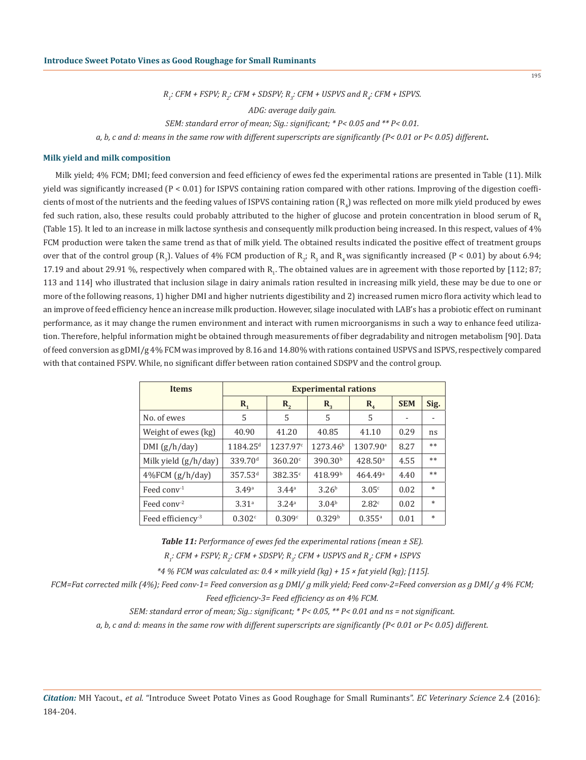195

*R1 : CFM + FSPV; R<sup>2</sup> : CFM + SDSPV; R3 : CFM + USPVS and R4 : CFM + ISPVS.*

*ADG: average daily gain.*

*SEM: standard error of mean; Sig.: significant; \* P< 0.05 and \*\* P< 0.01.*

*a, b, c and d: means in the same row with different superscripts are significantly (P< 0.01 or P< 0.05) different*.

## **Milk yield and milk composition**

Milk yield; 4% FCM; DMI; feed conversion and feed efficiency of ewes fed the experimental rations are presented in Table (11). Milk yield was significantly increased (P < 0.01) for ISPVS containing ration compared with other rations. Improving of the digestion coefficients of most of the nutrients and the feeding values of ISPVS containing ration  $\rm\,R_{4}$ ) was reflected on more milk yield produced by ewes fed such ration, also, these results could probably attributed to the higher of glucose and protein concentration in blood serum of R. (Table 15). It led to an increase in milk lactose synthesis and consequently milk production being increased. In this respect, values of 4% FCM production were taken the same trend as that of milk yield. The obtained results indicated the positive effect of treatment groups over that of the control group  $(R_1)$ . Values of 4% FCM production of  $R_2$ ;  $R_3$  and  $R_4$  was significantly increased (P < 0.01) by about 6.94; 17.19 and about 29.91 %, respectively when compared with  $R_{1}$ . The obtained values are in agreement with those reported by [112; 87; 113 and 114] who illustrated that inclusion silage in dairy animals ration resulted in increasing milk yield, these may be due to one or more of the following reasons, 1) higher DMI and higher nutrients digestibility and 2) increased rumen micro flora activity which lead to an improve of feed efficiency hence an increase milk production. However, silage inoculated with LAB's has a probiotic effect on ruminant performance, as it may change the rumen environment and interact with rumen microorganisms in such a way to enhance feed utilization. Therefore, helpful information might be obtained through measurements of fiber degradability and nitrogen metabolism [90]. Data of feed conversion as gDMI/g 4% FCM was improved by 8.16 and 14.80% with rations contained USPVS and ISPVS, respectively compared with that contained FSPV. While, no significant differ between ration contained SDSPV and the control group.

| <b>Items</b>                 |                      | <b>Experimental rations</b> |                      |                      |            |        |  |
|------------------------------|----------------------|-----------------------------|----------------------|----------------------|------------|--------|--|
|                              | $\mathbf{R}_{1}$     | $R_{2}$                     | $R_{\rm a}$          | $R_{4}$              | <b>SEM</b> | Sig.   |  |
| No. of ewes                  | 5                    | 5                           | 5                    | 5                    |            | ۰      |  |
| Weight of ewes (kg)          | 40.90                | 41.20                       | 40.85                | 41.10                | 0.29       | ns     |  |
| DMI(g/h/day)                 | 1184.25 <sup>d</sup> | 1237.97 <sup>c</sup>        | 1273.46 <sup>b</sup> | 1307.90 <sup>a</sup> | 8.27       | $**$   |  |
| Milk yield (g/h/day)         | 339.70 <sup>d</sup>  | 360.20c                     | 390.30 <sup>b</sup>  | 428.50 <sup>a</sup>  | 4.55       | $***$  |  |
| 4%FCM (g/h/day)              | 357.53 <sup>d</sup>  | 382.35 <sup>c</sup>         | 418.99 <sup>b</sup>  | 464.49a              | 4.40       | $**$   |  |
| Feed conv <sup>-1</sup>      | 3.49a                | 3.44 <sup>a</sup>           | 3.26 <sup>b</sup>    | 3.05c                | 0.02       | $\ast$ |  |
| Feed conv <sup>-2</sup>      | 3.31 <sup>a</sup>    | 3.24 <sup>a</sup>           | 3.04 <sup>b</sup>    | 2.82c                | 0.02       | $\ast$ |  |
| Feed efficiency <sup>3</sup> | 0.302c               | 0.309c                      | 0.329 <sup>b</sup>   | $0.355^{a}$          | 0.01       | $\ast$ |  |

*Table 11: Performance of ewes fed the experimental rations (mean ± SE).*

*R1 : CFM + FSPV; R<sup>2</sup> : CFM + SDSPV; R3 : CFM + USPVS and R4 : CFM + ISPVS*

 *\*4 % FCM was calculated as: 0.4 × milk yield (kg) + 15 × fat yield (kg); [115].*

*FCM=Fat corrected milk (4%); Feed conv-1= Feed conversion as g DMI/ g milk yield; Feed conv-2=Feed conversion as g DMI/ g 4% FCM; Feed efficiency-3= Feed efficiency as on 4% FCM.*

*SEM: standard error of mean; Sig.: significant; \* P< 0.05, \*\* P< 0.01 and ns = not significant.*

*a, b, c and d: means in the same row with different superscripts are significantly (P< 0.01 or P< 0.05) different.*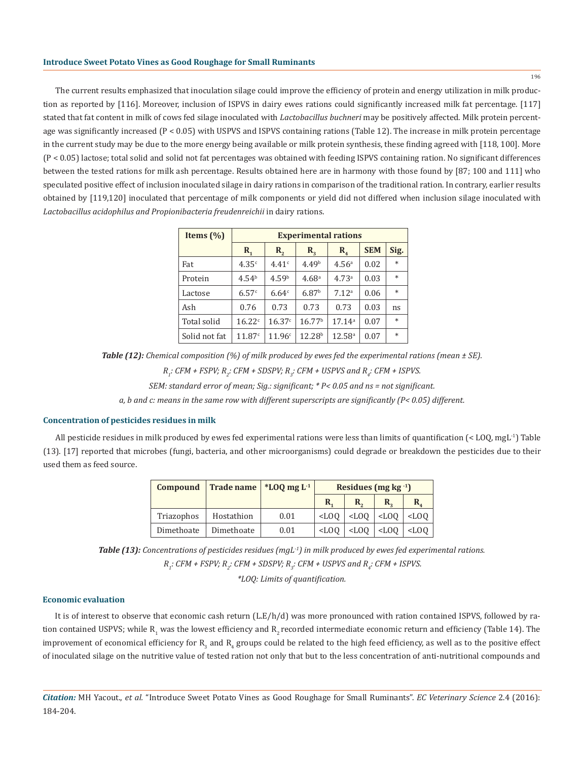The current results emphasized that inoculation silage could improve the efficiency of protein and energy utilization in milk production as reported by [116]. Moreover, inclusion of ISPVS in dairy ewes rations could significantly increased milk fat percentage. [117] stated that fat content in milk of cows fed silage inoculated with *Lactobacillus buchneri* may be positively affected. Milk protein percentage was significantly increased (P < 0.05) with USPVS and ISPVS containing rations (Table 12). The increase in milk protein percentage in the current study may be due to the more energy being available or milk protein synthesis, these finding agreed with [118, 100]. More (P < 0.05) lactose; total solid and solid not fat percentages was obtained with feeding ISPVS containing ration. No significant differences between the tested rations for milk ash percentage. Results obtained here are in harmony with those found by [87; 100 and 111] who speculated positive effect of inclusion inoculated silage in dairy rations in comparison of the traditional ration. In contrary, earlier results obtained by [119,120] inoculated that percentage of milk components or yield did not differed when inclusion silage inoculated with *Lactobacillus acidophilus and Propionibacteria freudenreichii* in dairy rations.

| Items $(\% )$ | <b>Experimental rations</b> |                   |                    |                    |            |        |  |
|---------------|-----------------------------|-------------------|--------------------|--------------------|------------|--------|--|
|               | $\mathbf{R}_{1}$            | R,                | $\mathbf{R}_{2}$   | $R_{4}$            | <b>SEM</b> | Sig.   |  |
| Fat           | 4.35c                       | 4.41c             | 4.49 <sup>b</sup>  | 4.56 <sup>a</sup>  | 0.02       | $\ast$ |  |
| Protein       | 4.54 <sup>b</sup>           | 4.59 <sup>b</sup> | 4.68 <sup>a</sup>  | 4.73 <sup>a</sup>  | 0.03       | $\ast$ |  |
| Lactose       | 6.57c                       | 6.64 <sup>c</sup> | 6.87 <sup>b</sup>  | 7.12 <sup>a</sup>  | 0.06       | $\ast$ |  |
| Ash           | 0.76                        | 0.73              | 0.73               | 0.73               | 0.03       | ns     |  |
| Total solid   | 16.22c                      | 16.37c            | 16.77 <sup>b</sup> | 17.14 <sup>a</sup> | 0.07       | $\ast$ |  |
| Solid not fat | 11.87c                      | 11.96c            | 12.28 <sup>b</sup> | $12.58^{\circ}$    | 0.07       | $\ast$ |  |

*Table (12): Chemical composition (%) of milk produced by ewes fed the experimental rations (mean ± SE).*

*R1 : CFM + FSPV; R<sup>2</sup> : CFM + SDSPV; R3 : CFM + USPVS and R4 : CFM + ISPVS.*

*SEM: standard error of mean; Sig.: significant; \* P< 0.05 and ns = not significant.*

*a, b and c: means in the same row with different superscripts are significantly (P< 0.05) different.*

#### **Concentration of pesticides residues in milk**

All pesticide residues in milk produced by ewes fed experimental rations were less than limits of quantification (< LOQ, mgL<sup>-1</sup>) Table (13). [17] reported that microbes (fungi, bacteria, and other microorganisms) could degrade or breakdown the pesticides due to their used them as feed source.

| <b>Compound</b> | Trade name | $*$ <b>LOQ</b> mg L <sup>-1</sup> | Residues (mg $kg^{-1}$ ) |                       |         |                  |  |
|-----------------|------------|-----------------------------------|--------------------------|-----------------------|---------|------------------|--|
|                 |            |                                   | R.                       | $\mathbf{R}_{\alpha}$ |         | $\mathbf{R}_{i}$ |  |
| Triazophos      | Hostathion | 0.01                              | $<$ LOO                  | $<$ LOO               | $<$ LOO | $<$ LOO          |  |
| Dimethoate      | Dimethoate | 0.01                              | $<$ LOO                  | $<$ LOO               | $<$ LOO | $<$ LOO          |  |

*Table (13): Concentrations of pesticides residues (mgL-1) in milk produced by ewes fed experimental rations.*

 $R_i$ : CFM + FSPV;  $R_i$ : CFM + SDSPV;  $R_j$ : CFM + USPVS and  $R_i$ : CFM + ISPVS.

*\*LOQ: Limits of quantification.*

#### **Economic evaluation**

It is of interest to observe that economic cash return (L.E/h/d) was more pronounced with ration contained ISPVS, followed by ration contained USPVS; while  $\mathtt{K}_1$  was the lowest efficiency and  $\mathtt{K}_2$  recorded intermediate economic return and efficiency (Table 14). The improvement of economical efficiency for  $\rm R^{}_3$  and  $\rm R^{}_4$  groups could be related to the high feed efficiency, as well as to the positive effect of inoculated silage on the nutritive value of tested ration not only that but to the less concentration of anti-nutritional compounds and

*Citation:* MH Yacout., *et al.* "Introduce Sweet Potato Vines as Good Roughage for Small Ruminants". *EC Veterinary Science* 2.4 (2016): 184-204.

196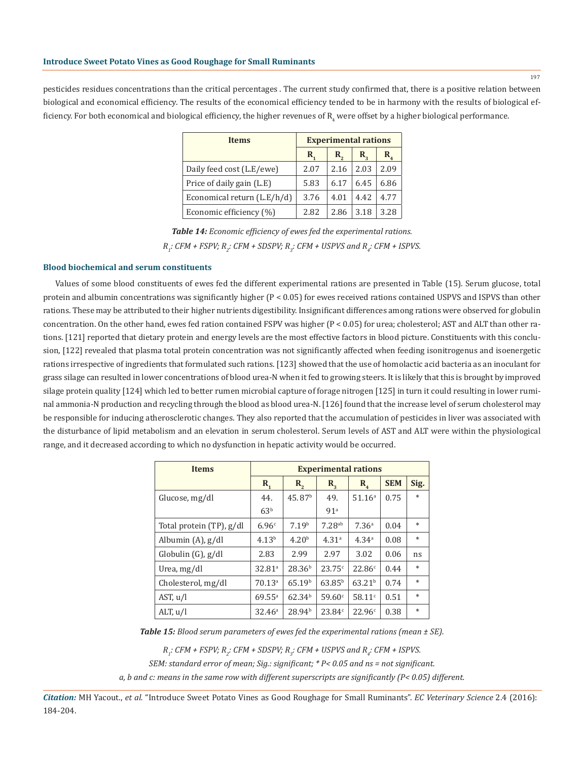pesticides residues concentrations than the critical percentages . The current study confirmed that, there is a positive relation between biological and economical efficiency. The results of the economical efficiency tended to be in harmony with the results of biological efficiency. For both economical and biological efficiency, the higher revenues of  $\mathrm{R_{4}}$  were offset by a higher biological performance.

| <b>Items</b>                | <b>Experimental rations</b> |      |      |      |  |
|-----------------------------|-----------------------------|------|------|------|--|
|                             | R,                          | R,   | R,   | R,   |  |
| Daily feed cost (L.E/ewe)   | 2.07                        | 2.16 | 2.03 | 2.09 |  |
| Price of daily gain (L.E)   | 5.83                        | 6.17 | 6.45 | 6.86 |  |
| Economical return (L.E/h/d) | 3.76                        | 4.01 | 4.42 | 4.77 |  |
| Economic efficiency (%)     | 2.82                        | 2.86 | 3.18 | 3.28 |  |

*Table 14: Economic efficiency of ewes fed the experimental rations. R1 : CFM + FSPV; R<sup>2</sup> : CFM + SDSPV; R3 : CFM + USPVS and R4 : CFM + ISPVS.*

# **Blood biochemical and serum constituents**

Values of some blood constituents of ewes fed the different experimental rations are presented in Table (15). Serum glucose, total protein and albumin concentrations was significantly higher  $(P < 0.05)$  for ewes received rations contained USPVS and ISPVS than other rations. These may be attributed to their higher nutrients digestibility. Insignificant differences among rations were observed for globulin concentration. On the other hand, ewes fed ration contained FSPV was higher (P < 0.05) for urea; cholesterol; AST and ALT than other rations. [121] reported that dietary protein and energy levels are the most effective factors in blood picture. Constituents with this conclusion, [122] revealed that plasma total protein concentration was not significantly affected when feeding isonitrogenus and isoenergetic rations irrespective of ingredients that formulated such rations. [123] showed that the use of homolactic acid bacteria as an inoculant for grass silage can resulted in lower concentrations of blood urea-N when it fed to growing steers. It is likely that this is brought by improved silage protein quality [124] which led to better rumen microbial capture of forage nitrogen [125] in turn it could resulting in lower ruminal ammonia-N production and recycling through the blood as blood urea-N. [126] found that the increase level of serum cholesterol may be responsible for inducing atherosclerotic changes. They also reported that the accumulation of pesticides in liver was associated with the disturbance of lipid metabolism and an elevation in serum cholesterol. Serum levels of AST and ALT were within the physiological range, and it decreased according to which no dysfunction in hepatic activity would be occurred.

| <b>Items</b>             | <b>Experimental rations</b> |                    |                      |                    |            |        |
|--------------------------|-----------------------------|--------------------|----------------------|--------------------|------------|--------|
|                          | $R_{1}$                     | $\mathbf{R}_{2}$   | $R_{3}$              | $R_{\rm A}$        | <b>SEM</b> | Sig.   |
| Glucose, mg/dl           | 44.                         | 45.87 <sup>b</sup> | 49.                  | 51.16 <sup>a</sup> | 0.75       | $\ast$ |
|                          | 63 <sup>b</sup>             |                    | 91 <sup>a</sup>      |                    |            |        |
| Total protein (TP), g/dl | 6.96c                       | 7.19 <sup>b</sup>  | $7.28$ <sup>ab</sup> | 7.36 <sup>a</sup>  | 0.04       | $\ast$ |
| Albumin $(A)$ , $g/dl$   | 4.13 <sup>b</sup>           | 4.20 <sup>b</sup>  | 4.31 <sup>a</sup>    | 4.34 <sup>a</sup>  | 0.08       | $\ast$ |
| Globulin $(G)$ , $g/dl$  | 2.83                        | 2.99               | 2.97                 | 3.02               | 0.06       | ns     |
| Urea, mg/dl              | 32.81 <sup>a</sup>          | 28.36 <sup>b</sup> | 23.75c               | 22.86c             | 0.44       | $\ast$ |
| Cholesterol, mg/dl       | 70.13 <sup>a</sup>          | 65.19 <sup>b</sup> | $63.85^{b}$          | 63.21 <sup>b</sup> | 0.74       | $\ast$ |
| AST, u/l                 | $69.55^{\circ}$             | 62.34 <sup>b</sup> | 59.60°               | 58.11 $^{\circ}$   | 0.51       | $\ast$ |
| ALT, $u/l$               | 32.46 <sup>a</sup>          | 28.94 <sup>b</sup> | 23.84c               | 22.96c             | 0.38       | $\ast$ |

*Table 15: Blood serum parameters of ewes fed the experimental rations (mean ± SE).*

*R1 : CFM + FSPV; R<sup>2</sup> : CFM + SDSPV; R3 : CFM + USPVS and R4 : CFM + ISPVS.*

*SEM: standard error of mean; Sig.: significant; \* P< 0.05 and ns = not significant.*

*a, b and c: means in the same row with different superscripts are significantly (P< 0.05) different.*

*Citation:* MH Yacout., *et al.* "Introduce Sweet Potato Vines as Good Roughage for Small Ruminants". *EC Veterinary Science* 2.4 (2016): 184-204.

197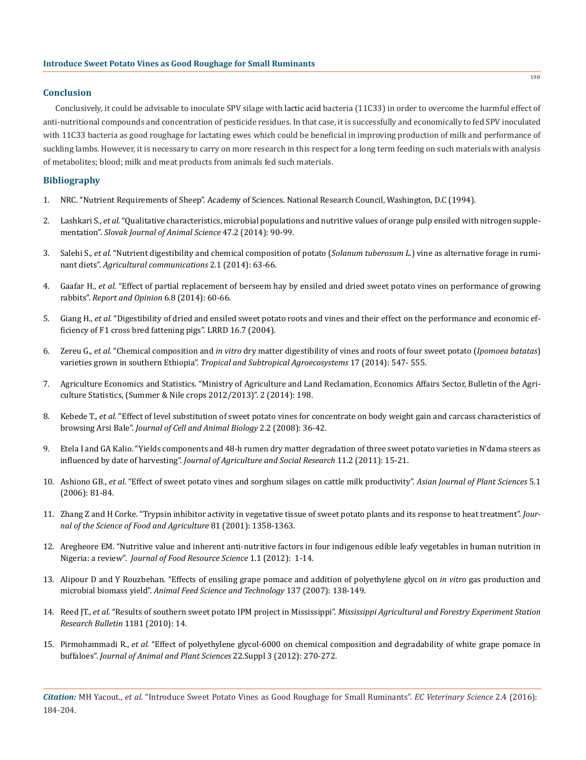## **Conclusion**

Conclusively, it could be advisable to inoculate SPV silage with lactic acid bacteria (11C33) in order to overcome the harmful effect of anti-nutritional compounds and concentration of pesticide residues. In that case, it is successfully and economically to fed SPV inoculated with 11C33 bacteria as good roughage for lactating ewes which could be beneficial in improving production of milk and performance of suckling lambs. However, it is necessary to carry on more research in this respect for a long term feeding on such materials with analysis of metabolites; blood; milk and meat products from animals fed such materials.

# **Bibliography**

- 1. NRC. "Nutrient Requirements of Sheep". Academy of Sciences. National Research Council, Washington, D.C (1994).
- 2. Lashkari S., *et al.* "Qualitative characteristics, microbial populations and nutritive values of orange pulp ensiled with nitrogen supplementation". *Slovak Journal of Animal Science* 47.2 (2014): 90-99.
- 3. Salehi S., *et al.* "Nutrient digestibility and chemical composition of potato (*Solanum tuberosum L.*) vine as alternative forage in ruminant diets". *Agricultural communications* 2.1 (2014): 63-66.
- 4. Gaafar H., *et al.* "Effect of partial replacement of berseem hay by ensiled and dried sweet potato vines on performance of growing rabbits". *Report and Opinion* 6.8 (2014): 60-66.
- 5. Giang H., *et al.* "Digestibility of dried and ensiled sweet potato roots and vines and their effect on the performance and economic efficiency of F1 cross bred fattening pigs". LRRD 16.7 (2004).
- 6. Zereu G., *et al.* "Chemical composition and *in vitro* dry matter digestibility of vines and roots of four sweet potato (*Ipomoea batatas*) varieties grown in southern Ethiopia". *Tropical and Subtropical Agroecosystems* 17 (2014): 547- 555.
- 7. Agriculture Economics and Statistics. "Ministry of Agriculture and Land Reclamation, Economics Affairs Sector, Bulletin of the Agriculture Statistics, (Summer & Nile crops 2012/2013)". 2 (2014): 198.
- 8. Kebede T., *et al.* "Effect of level substitution of sweet potato vines for concentrate on body weight gain and carcass characteristics of browsing Arsi Bale". *Journal of Cell and Animal Biology* 2.2 (2008): 36-42.
- 9. Etela I and GA Kalio. "Yields components and 48-h rumen dry matter degradation of three sweet potato varieties in N'dama steers as influenced by date of harvesting". *Journal of Agriculture and Social Research* 11.2 (2011): 15-21.
- 10. Ashiono GB., *et al.* "Effect of sweet potato vines and sorghum silages on cattle milk productivity". *Asian Journal of Plant Sciences* 5.1 (2006): 81-84.
- 11. Zhang Z and H Corke. "Trypsin inhibitor activity in vegetative tissue of sweet potato plants and its response to heat treatment". *Journal of the Science of Food and Agriculture* 81 (2001): 1358-1363.
- 12. Aregheore EM. "Nutritive value and inherent anti-nutritive factors in four indigenous edible leafy vegetables in human nutrition in Nigeria: a review". *Journal of Food Resource Science* 1.1 (2012): 1-14.
- 13. Alipour D and Y Rouzbehan. "Effects of ensiling grape pomace and addition of polyethylene glycol on *in vitro* gas production and microbial biomass yield". *Animal Feed Science and Technology* 137 (2007): 138-149.
- 14. Reed JT., *et al.* "Results of southern sweet potato IPM project in Mississippi". *Mississippi Agricultural and Forestry Experiment Station Research Bulletin* 1181 (2010): 14.
- 15. Pirmohammadi R., *et al.* "Effect of polyethylene glycol-6000 on chemical composition and degradability of white grape pomace in buffaloes". *Journal of Animal and Plant Sciences* 22.Suppl 3 (2012): 270-272.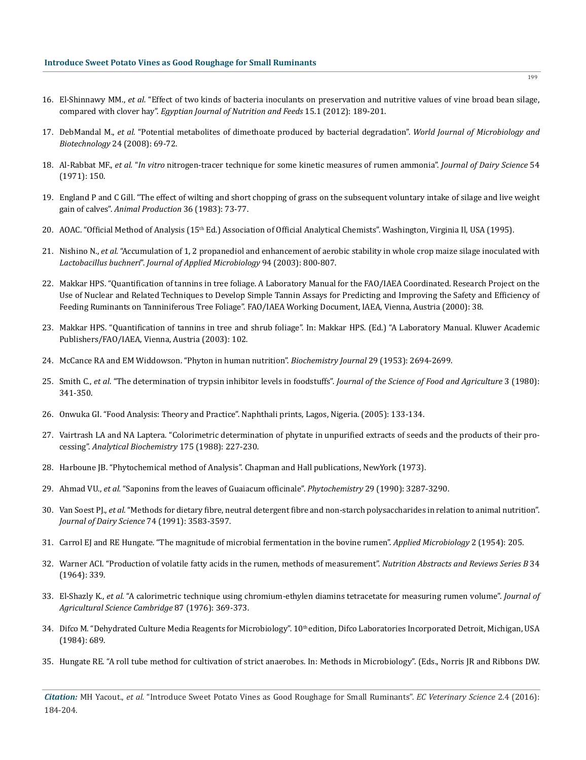- 16. El-Shinnawy MM., *et al.* "Effect of two kinds of bacteria inoculants on preservation and nutritive values of vine broad bean silage, compared with clover hay". *Egyptian Journal of Nutrition and Feeds* 15.1 (2012): 189-201.
- 17. DebMandal M., *et al.* "Potential metabolites of dimethoate produced by bacterial degradation". *World Journal of Microbiology and Biotechnology* 24 (2008): 69-72.
- 18. Al-Rabbat MF., *et al.* "*In vitro* nitrogen-tracer technique for some kinetic measures of rumen ammonia". *Journal of Dairy Science* 54 (1971): 150.
- 19. England P and C Gill. "The effect of wilting and short chopping of grass on the subsequent voluntary intake of silage and live weight gain of calves". *Animal Production* 36 (1983): 73-77.
- 20. AOAC. "Official Method of Analysis (15<sup>th</sup> Ed.) Association of Official Analytical Chemists". Washington, Virginia Il, USA (1995).
- 21. Nishino N., *et al.* "Accumulation of 1, 2 propanediol and enhancement of aerobic stability in whole crop maize silage inoculated with *Lactobacillus buchneri*". *Journal of Applied Microbiology* 94 (2003): 800-807.
- 22. Makkar HPS. "Quantification of tannins in tree foliage. A Laboratory Manual for the FAO/IAEA Coordinated. Research Project on the Use of Nuclear and Related Techniques to Develop Simple Tannin Assays for Predicting and Improving the Safety and Efficiency of Feeding Ruminants on Tanniniferous Tree Foliage". FAO/IAEA Working Document, IAEA, Vienna, Austria (2000): 38.
- 23. Makkar HPS. "Quantification of tannins in tree and shrub foliage". In: Makkar HPS. (Ed.) "A Laboratory Manual. Kluwer Academic Publishers/FAO/IAEA, Vienna, Austria (2003): 102.
- 24. McCance RA and EM Widdowson. "Phyton in human nutrition". *Biochemistry Journal* 29 (1953): 2694-2699.
- 25. Smith C., *et al*. "The determination of trypsin inhibitor levels in foodstuffs". *Journal of the Science of Food and Agriculture* 3 (1980): 341-350.
- 26. Onwuka GI. "Food Analysis: Theory and Practice". Naphthali prints, Lagos, Nigeria. (2005): 133-134.
- 27. Vairtrash LA and NA Laptera. "Colorimetric determination of phytate in unpurified extracts of seeds and the products of their processing". *Analytical Biochemistry* 175 (1988): 227-230.
- 28. Harboune JB. "Phytochemical method of Analysis". Chapman and Hall publications, NewYork (1973).
- 29. Ahmad VU., *et al.* "Saponins from the leaves of Guaiacum officinale". *Phytochemistry* 29 (1990): 3287-3290.
- 30. Van Soest PJ., *et al.* "Methods for dietary fibre, neutral detergent fibre and non-starch polysaccharides in relation to animal nutrition". *Journal of Dairy Science* 74 (1991): 3583-3597.
- 31. Carrol EJ and RE Hungate. "The magnitude of microbial fermentation in the bovine rumen". *Applied Microbiology* 2 (1954): 205.
- 32. Warner ACI. "Production of volatile fatty acids in the rumen, methods of measurement". *Nutrition Abstracts and Reviews Series B* 34 (1964): 339.
- 33. El-Shazly K., *et al.* "A calorimetric technique using chromium-ethylen diamins tetracetate for measuring rumen volume". *Journal of Agricultural Science Cambridge* 87 (1976): 369-373.
- 34. Difco M. "Dehydrated Culture Media Reagents for Microbiology". 10<sup>th</sup> edition, Difco Laboratories Incorporated Detroit, Michigan, USA (1984): 689.
- 35. Hungate RE. "A roll tube method for cultivation of strict anaerobes. In: Methods in Microbiology". (Eds., Norris JR and Ribbons DW.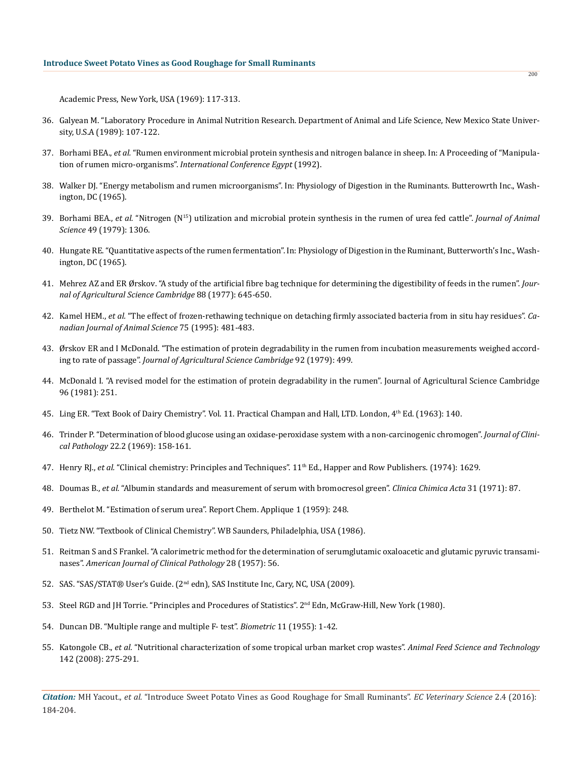Academic Press, New York, USA (1969): 117-313.

- 36. Galyean M. "Laboratory Procedure in Animal Nutrition Research. Department of Animal and Life Science, New Mexico State University, U.S.A (1989): 107-122.
- 37. Borhami BEA., *et al.* "Rumen environment microbial protein synthesis and nitrogen balance in sheep. In: A Proceeding of "Manipulation of rumen micro-organisms". *International Conference Egypt* (1992).
- 38. Walker DJ. "Energy metabolism and rumen microorganisms". In: Physiology of Digestion in the Ruminants. Butterowrth Inc., Washington, DC (1965).
- 39. Borhami BEA., *et al.* "Nitrogen (N15) utilization and microbial protein synthesis in the rumen of urea fed cattle". *Journal of Animal Science* 49 (1979): 1306.
- 40. Hungate RE. "Quantitative aspects of the rumen fermentation". In: Physiology of Digestion in the Ruminant, Butterworth's Inc., Washington, DC (1965).
- 41. Mehrez AZ and ER Ørskov. "A study of the artificial fibre bag technique for determining the digestibility of feeds in the rumen". *Journal of Agricultural Science Cambridge* 88 (1977): 645-650.
- 42. Kamel HEM., *et al.* "The effect of frozen-rethawing technique on detaching firmly associated bacteria from in situ hay residues". *Canadian Journal of Animal Science* 75 (1995): 481-483.
- 43. Ørskov ER and I McDonald. "The estimation of protein degradability in the rumen from incubation measurements weighed according to rate of passage". *Journal of Agricultural Science Cambridge* 92 (1979): 499.
- 44. McDonald I. "A revised model for the estimation of protein degradability in the rumen". Journal of Agricultural Science Cambridge 96 (1981): 251.
- 45. Ling ER. "Text Book of Dairy Chemistry". Vol. 11. Practical Champan and Hall, LTD. London, 4th Ed. (1963): 140.
- 46. Trinder P. "Determination of blood glucose using an oxidase-peroxidase system with a non-carcinogenic chromogen". *Journal of Clinical Pathology* 22.2 (1969): 158-161.
- 47. Henry RJ., *et al.* "Clinical chemistry: Principles and Techniques". 11th Ed., Happer and Row Publishers. (1974): 1629.
- 48. Doumas B., *et al.* "Albumin standards and measurement of serum with bromocresol green". *Clinica Chimica Acta* 31 (1971): 87.
- 49. Berthelot M. "Estimation of serum urea". Report Chem. Applique 1 (1959): 248.
- 50. Tietz NW. "Textbook of Clinical Chemistry". WB Saunders, Philadelphia, USA (1986).
- 51. Reitman S and S Frankel. "A calorimetric method for the determination of serumglutamic oxaloacetic and glutamic pyruvic transaminases". *American Journal of Clinical Pathology* 28 (1957): 56.
- 52. SAS. "SAS/STAT® User's Guide. (2<sup>nd</sup> edn), SAS Institute Inc, Cary, NC, USA (2009).
- 53. Steel RGD and JH Torrie. "Principles and Procedures of Statistics". 2<sup>nd</sup> Edn, McGraw-Hill, New York (1980).
- 54. Duncan DB. "Multiple range and multiple F- test". *Biometric* 11 (1955): 1-42.
- 55. Katongole CB., *et al.* "Nutritional characterization of some tropical urban market crop wastes". *Animal Feed Science and Technology* 142 (2008): 275-291.

*Citation:* MH Yacout., *et al.* "Introduce Sweet Potato Vines as Good Roughage for Small Ruminants". *EC Veterinary Science* 2.4 (2016): 184-204.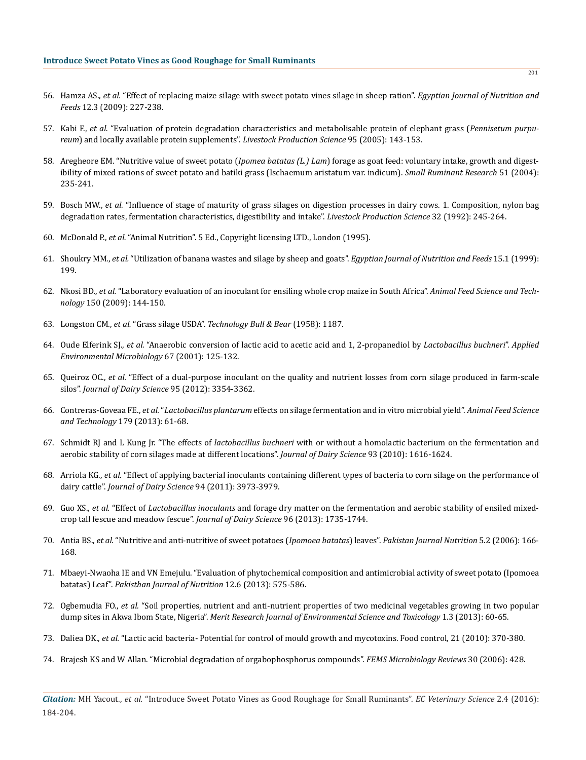- 56. Hamza AS., *et al.* "Effect of replacing maize silage with sweet potato vines silage in sheep ration". *Egyptian Journal of Nutrition and Feeds* 12.3 (2009): 227-238.
- 57. Kabi F., *et al.* "Evaluation of protein degradation characteristics and metabolisable protein of elephant grass (*Pennisetum purpureum*) and locally available protein supplements". *Livestock Production Science* 95 (2005): 143-153.
- 58. Aregheore EM. "Nutritive value of sweet potato (*Ipomea batatas (L.) Lam*) forage as goat feed: voluntary intake, growth and digestibility of mixed rations of sweet potato and batiki grass (Ischaemum aristatum var. indicum). *Small Ruminant Research* 51 (2004): 235-241.
- 59. Bosch MW., *et al.* "Influence of stage of maturity of grass silages on digestion processes in dairy cows. 1. Composition, nylon bag degradation rates, fermentation characteristics, digestibility and intake". *Livestock Production Science* 32 (1992): 245-264.
- 60. McDonald P., *et al.* "Animal Nutrition". 5 Ed., Copyright licensing LTD., London (1995).
- 61. Shoukry MM., *et al.* "Utilization of banana wastes and silage by sheep and goats". *Egyptian Journal of Nutrition and Feeds* 15.1 (1999): 199.
- 62. Nkosi BD., *et al.* "Laboratory evaluation of an inoculant for ensiling whole crop maize in South Africa". *Animal Feed Science and Technology* 150 (2009): 144-150.
- 63. Longston CM., *et al.* "Grass silage USDA". *Technology Bull & Bear* (1958): 1187.
- 64. Oude Elferink SJ., *et al.* "Anaerobic conversion of lactic acid to acetic acid and 1, 2-propanediol by *Lactobacillus buchneri*". *Applied Environmental Microbiology* 67 (2001): 125-132.
- 65. Queiroz OC., *et al.* "Effect of a dual-purpose inoculant on the quality and nutrient losses from corn silage produced in farm-scale silos". *Journal of Dairy Science* 95 (2012): 3354-3362.
- 66. Contreras-Goveaa FE., *et al.* "*Lactobacillus plantarum* effects on silage fermentation and in vitro microbial yield". *Animal Feed Science and Technology* 179 (2013): 61-68.
- 67. Schmidt RJ and L Kung Jr. "The effects of *lactobacillus buchneri* with or without a homolactic bacterium on the fermentation and aerobic stability of corn silages made at different locations". *Journal of Dairy Science* 93 (2010): 1616-1624.
- 68. Arriola KG., *et al.* "Effect of applying bacterial inoculants containing different types of bacteria to corn silage on the performance of dairy cattle". *Journal of Dairy Science* 94 (2011): 3973-3979.
- 69. Guo XS., *et al.* "Effect of *Lactobacillus inoculants* and forage dry matter on the fermentation and aerobic stability of ensiled mixedcrop tall fescue and meadow fescue". *Journal of Dairy Science* 96 (2013): 1735-1744.
- 70. Antia BS., *et al.* "Nutritive and anti-nutritive of sweet potatoes (*Ipomoea batatas*) leaves". *Pakistan Journal Nutrition* 5.2 (2006): 166- 168.
- 71. Mbaeyi-Nwaoha IE and VN Emejulu. "Evaluation of phytochemical composition and antimicrobial activity of sweet potato (Ipomoea batatas) Leaf". *Pakisthan Journal of Nutrition* 12.6 (2013): 575-586.
- 72. Ogbemudia FO., *et al.* "Soil properties, nutrient and anti-nutrient properties of two medicinal vegetables growing in two popular dump sites in Akwa Ibom State, Nigeria". *Merit Research Journal of Environmental Science and Toxicology* 1.3 (2013): 60-65.
- 73. Daliea DK., *et al.* "Lactic acid bacteria- Potential for control of mould growth and mycotoxins. Food control, 21 (2010): 370-380.
- 74. Brajesh KS and W Allan. "Microbial degradation of orgabophosphorus compounds". *FEMS Microbiology Reviews* 30 (2006): 428.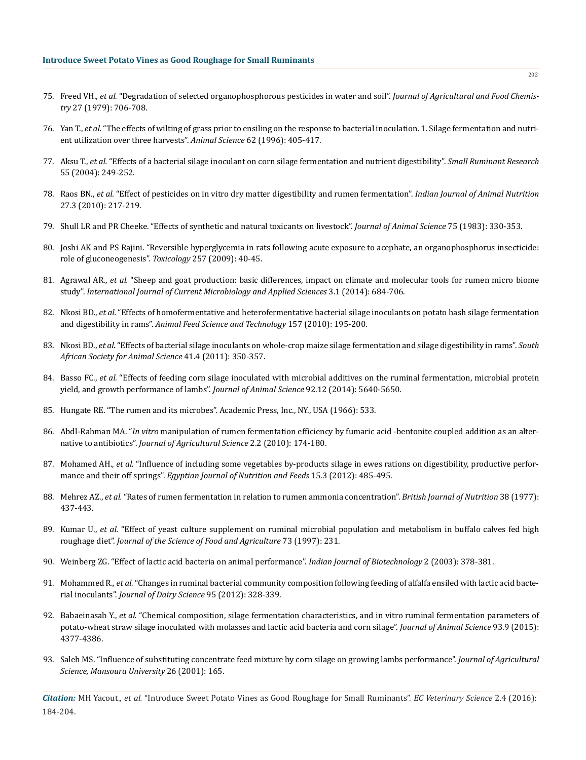- 75. Freed VH., *et al.* "Degradation of selected organophosphorous pesticides in water and soil". *Journal of Agricultural and Food Chemistry* 27 (1979): 706-708.
- 76. Yan T., *et al.* "The effects of wilting of grass prior to ensiling on the response to bacterial inoculation. 1. Silage fermentation and nutrient utilization over three harvests". *Animal Science* 62 (1996): 405-417.
- 77. Aksu T., *et al.* "Effects of a bacterial silage inoculant on corn silage fermentation and nutrient digestibility". *Small Ruminant Research* 55 (2004): 249-252.
- 78. Raos BN., *et al.* "Effect of pesticides on in vitro dry matter digestibility and rumen fermentation". *Indian Journal of Animal Nutrition* 27.3 (2010): 217-219.
- 79. Shull LR and PR Cheeke. "Effects of synthetic and natural toxicants on livestock". *Journal of Animal Science* 75 (1983): 330-353.
- 80. Joshi AK and PS Rajini. "Reversible hyperglycemia in rats following acute exposure to acephate, an organophosphorus insecticide: role of gluconeogenesis". *Toxicology* 257 (2009): 40-45.
- 81. Agrawal AR., *et al.* "Sheep and goat production: basic differences, impact on climate and molecular tools for rumen micro biome study". *International Journal of Current Microbiology and Applied Sciences* 3.1 (2014): 684-706.
- 82. Nkosi BD., *et al.* "Effects of homofermentative and heterofermentative bacterial silage inoculants on potato hash silage fermentation and digestibility in rams". *Animal Feed Science and Technology* 157 (2010): 195-200.
- 83. Nkosi BD., *et al.* "Effects of bacterial silage inoculants on whole-crop maize silage fermentation and silage digestibility in rams". *South African Society for Animal Science* 41.4 (2011): 350-357.
- 84. Basso FC., *et al.* "Effects of feeding corn silage inoculated with microbial additives on the ruminal fermentation, microbial protein yield, and growth performance of lambs". *Journal of Animal Science* 92.12 (2014): 5640-5650.
- 85. Hungate RE. "The rumen and its microbes". Academic Press, Inc., NY., USA (1966): 533.
- 86. Abdl-Rahman MA. "*In vitro* manipulation of rumen fermentation efficiency by fumaric acid -bentonite coupled addition as an alternative to antibiotics". *Journal of Agricultural Science* 2.2 (2010): 174-180.
- 87. Mohamed AH., *et al.* "Influence of including some vegetables by-products silage in ewes rations on digestibility, productive performance and their off springs". *Egyptian Journal of Nutrition and Feeds* 15.3 (2012): 485-495.
- 88. Mehrez AZ., *et al.* "Rates of rumen fermentation in relation to rumen ammonia concentration". *British Journal of Nutrition* 38 (1977): 437-443.
- 89. Kumar U., *et al.* "Effect of yeast culture supplement on ruminal microbial population and metabolism in buffalo calves fed high roughage diet". *Journal of the Science of Food and Agriculture* 73 (1997): 231.
- 90. Weinberg ZG. "Effect of lactic acid bacteria on animal performance". *Indian Journal of Biotechnology* 2 (2003): 378-381.
- 91. Mohammed R., *et al.* "Changes in ruminal bacterial community composition following feeding of alfalfa ensiled with lactic acid bacterial inoculants". *Journal of Dairy Science* 95 (2012): 328-339.
- 92. Babaeinasab Y., *et al.* "Chemical composition, silage fermentation characteristics, and in vitro ruminal fermentation parameters of potato-wheat straw silage inoculated with molasses and lactic acid bacteria and corn silage". *Journal of Animal Science* 93.9 (2015): 4377-4386.
- 93. Saleh MS. "Influence of substituting concentrate feed mixture by corn silage on growing lambs performance". *Journal of Agricultural Science, Mansoura University* 26 (2001): 165.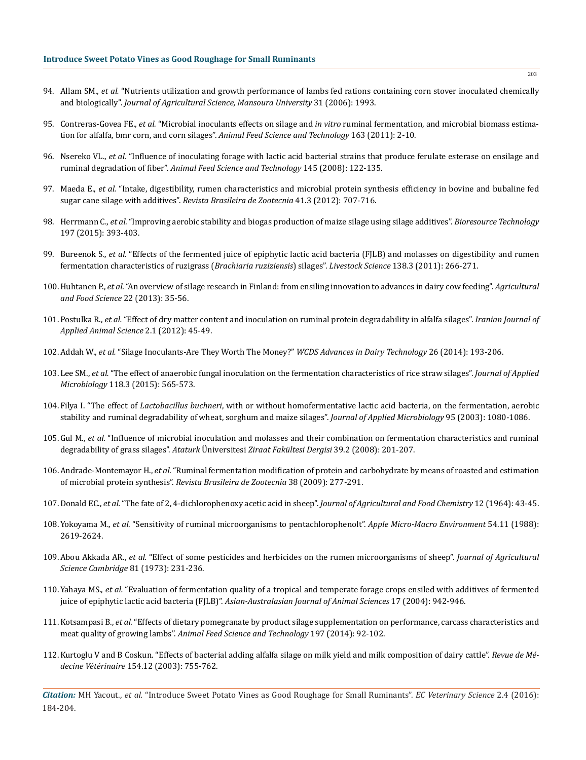- 94. Allam SM., *et al.* "Nutrients utilization and growth performance of lambs fed rations containing corn stover inoculated chemically and biologically". *Journal of Agricultural Science, Mansoura University* 31 (2006): 1993.
- 95. Contreras-Govea FE., *et al.* "Microbial inoculants effects on silage and *in vitro* ruminal fermentation, and microbial biomass estimation for alfalfa, bmr corn, and corn silages". *Animal Feed Science and Technology* 163 (2011): 2-10.
- 96. Nsereko VL., *et al.* "Influence of inoculating forage with lactic acid bacterial strains that produce ferulate esterase on ensilage and ruminal degradation of fiber". *Animal Feed Science and Technology* 145 (2008): 122-135.
- 97. Maeda E., *et al.* "Intake, digestibility, rumen characteristics and microbial protein synthesis efficiency in bovine and bubaline fed sugar cane silage with additives". *Revista Brasileira de Zootecnia* 41.3 (2012): 707-716.
- 98. Herrmann C., *et al.* "Improving aerobic stability and biogas production of maize silage using silage additives". *Bioresource Technology* 197 (2015): 393-403.
- 99. Bureenok S., *et al.* "Effects of the fermented juice of epiphytic lactic acid bacteria (FJLB) and molasses on digestibility and rumen fermentation characteristics of ruzigrass (*Brachiaria ruziziensis*) silages". *Livestock Science* 138.3 (2011): 266-271.
- 100.Huhtanen P., *et al.* "An overview of silage research in Finland: from ensiling innovation to advances in dairy cow feeding". *Agricultural and Food Science* 22 (2013): 35-56.
- 101.Postulka R., *et al.* "Effect of dry matter content and inoculation on ruminal protein degradability in alfalfa silages". *Iranian Journal of Applied Animal Science* 2.1 (2012): 45-49.
- 102.Addah W., *et al.* "Silage Inoculants-Are They Worth The Money?" *WCDS Advances in Dairy Technology* 26 (2014): 193-206.
- 103.Lee SM., *et al.* "The effect of anaerobic fungal inoculation on the fermentation characteristics of rice straw silages". *Journal of Applied Microbiology* 118.3 (2015): 565-573.
- 104.Filya I. "The effect of *Lactobacillus buchneri*, with or without homofermentative lactic acid bacteria, on the fermentation, aerobic stability and ruminal degradability of wheat, sorghum and maize silages". *Journal of Applied Microbiology* 95 (2003): 1080-1086.
- 105.Gul M., *et al.* "Influence of microbial inoculation and molasses and their combination on fermentation characteristics and ruminal degradability of grass silages". *Ataturk* Üniversitesi *Ziraat Fakültesi Dergisi* 39.2 (2008): 201-207.
- 106.Andrade-Montemayor H., *et al.* "Ruminal fermentation modification of protein and carbohydrate by means of roasted and estimation of microbial protein synthesis". *Revista Brasileira de Zootecnia* 38 (2009): 277-291.
- 107.Donald EC., *et al.* "The fate of 2, 4-dichlorophenoxy acetic acid in sheep". *Journal of Agricultural and Food Chemistry* 12 (1964): 43-45.
- 108.Yokoyama M., *et al.* "Sensitivity of ruminal microorganisms to pentachlorophenolt". *Apple Micro-Macro Environment* 54.11 (1988): 2619-2624.
- 109.Abou Akkada AR., *et al.* "Effect of some pesticides and herbicides on the rumen microorganisms of sheep". *Journal of Agricultural Science Cambridge* 81 (1973): 231-236.
- 110.Yahaya MS., *et al.* "Evaluation of fermentation quality of a tropical and temperate forage crops ensiled with additives of fermented juice of epiphytic lactic acid bacteria (FJLB)". *Asian-Australasian Journal of Animal Sciences* 17 (2004): 942-946.
- 111.Kotsampasi B., *et al.* "Effects of dietary pomegranate by product silage supplementation on performance, carcass characteristics and meat quality of growing lambs". *Animal Feed Science and Technology* 197 (2014): 92-102.
- 112.Kurtoglu V and B Coskun. "Effects of bacterial adding alfalfa silage on milk yield and milk composition of dairy cattle". *Revue de Médecine Vétérinaire* 154.12 (2003): 755-762.